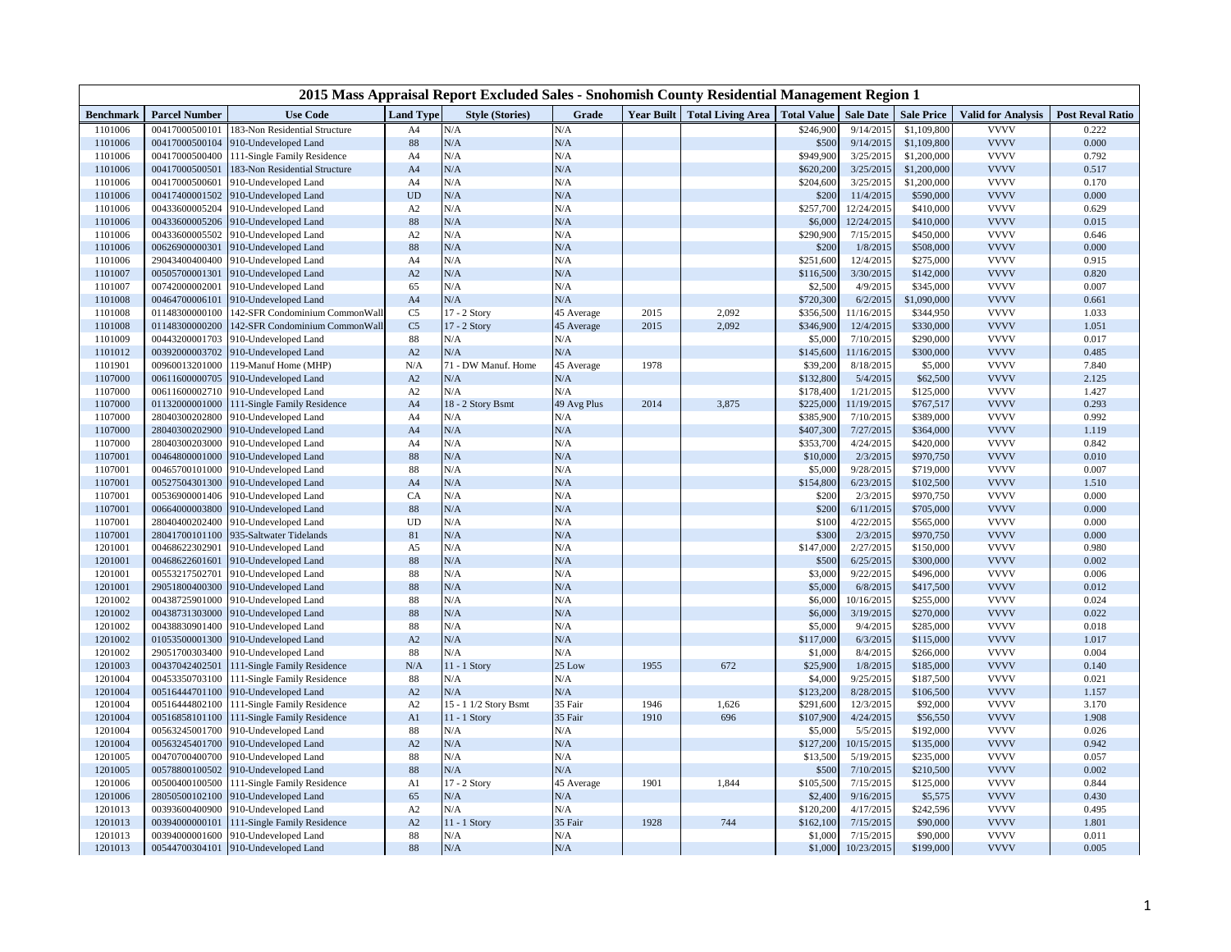| Year Built   Total Living Area   Total Value<br><b>Parcel Number</b><br><b>Use Code</b><br><b>Style (Stories)</b><br>Grade<br><b>Sale Date</b><br><b>Sale Price</b><br><b>Post Reval Ratio</b><br><b>Benchmark</b><br><b>Land Type</b><br><b>Valid for Analysis</b><br>183-Non Residential Structure<br>9/14/2015<br>\$1,109,800<br><b>VVVV</b><br>0.222<br>1101006<br>00417000500101<br>A4<br>N/A<br>N/A<br>\$246,900<br>N/A<br><b>VVVV</b><br>0.000<br>1101006<br>00417000500104<br>$88\,$<br>${\rm N/A}$<br>\$500<br>9/14/2015<br>\$1,109,800<br>910-Undeveloped Land<br><b>VVVV</b><br>1101006<br>00417000500400<br>111-Single Family Residence<br>N/A<br>N/A<br>\$949,900<br>3/25/2015<br>\$1,200,000<br>0.792<br>A4<br>${\rm N/A}$<br>N/A<br><b>VVVV</b><br>1101006<br>00417000500501<br>A <sub>4</sub><br>\$620,200<br>3/25/2015<br>\$1,200,000<br>0.517<br>183-Non Residential Structure<br>N/A<br>N/A<br><b>VVVV</b><br>1101006<br>00417000500601<br>A <sub>4</sub><br>\$204,600<br>3/25/2015<br>\$1,200,000<br>0.170<br>910-Undeveloped Land<br><b>VVVV</b><br>1101006<br>00417400001502<br><b>UD</b><br>N/A<br>${\rm N/A}$<br>11/4/2015<br>0.000<br>\$200<br>\$590,000<br>910-Undeveloped Land<br><b>VVVV</b><br>N/A<br>N/A<br>1101006<br>00433600005204<br>910-Undeveloped Land<br>A2<br>\$257,700<br>12/24/2015<br>\$410,000<br>0.629<br>N/A<br><b>VVVV</b><br>00433600005206<br>$88\,$<br>N/A<br>0.015<br>1101006<br>910-Undeveloped Land<br>\$6,000<br>12/24/2015<br>\$410,000<br><b>VVVV</b><br>A2<br>N/A<br>N/A<br>7/15/2015<br>1101006<br>00433600005502<br>910-Undeveloped Land<br>\$290,900<br>\$450,000<br>0.646<br><b>VVVV</b><br>$88\,$<br>N/A<br>N/A<br>1101006<br>00626900000301<br>\$200<br>1/8/2015<br>\$508,000<br>0.000<br>910-Undeveloped Land<br><b>VVVV</b><br>1101006<br>29043400400400<br>N/A<br>N/A<br>12/4/2015<br>0.915<br>910-Undeveloped Land<br>A <sub>4</sub><br>\$251,600<br>\$275,000<br>N/A<br>N/A<br><b>VVVV</b><br>1101007<br>00505700001301<br>910-Undeveloped Land<br>A2<br>\$116,500<br>3/30/2015<br>\$142,000<br>0.820<br>N/A<br><b>VVVV</b><br>1101007<br>00742000002001<br>910-Undeveloped Land<br>65<br>N/A<br>\$2,500<br>4/9/2015<br>\$345,000<br>0.007<br><b>VVVV</b><br>N/A<br>N/A<br>1101008<br>00464700006101<br>910-Undeveloped Land<br>A <sub>4</sub><br>\$720,300<br>6/2/2015<br>\$1,090,000<br>0.661<br><b>VVVV</b><br>1101008<br>01148300000100<br>C <sub>5</sub><br>17 - 2 Story<br>45 Average<br>2015<br>\$356,500<br>11/16/2015<br>1.033<br>142-SFR Condominium CommonWall<br>2,092<br>\$344,950<br><b>VVVV</b><br>1101008<br>01148300000200<br>C <sub>5</sub><br>17 - 2 Story<br>2015<br>2,092<br>\$346,900<br>12/4/2015<br>1.051<br>142-SFR Condominium CommonWall<br>45 Average<br>\$330,000<br><b>VVVV</b><br>1101009<br>00443200001703<br>910-Undeveloped Land<br>$88\,$<br>N/A<br>N/A<br>\$5,000<br>7/10/2015<br>\$290,000<br>0.017<br>N/A<br><b>VVVV</b><br>1101012<br>00392000003702<br>910-Undeveloped Land<br>A2<br>N/A<br>\$145,600<br>11/16/2015<br>\$300,000<br>0.485<br>1978<br><b>VVVV</b><br>1101901<br>00960013201000<br>119-Manuf Home (MHP)<br>N/A<br>71 - DW Manuf. Home<br>45 Average<br>\$39,200<br>8/18/2015<br>\$5,000<br>7.840<br><b>VVVV</b><br>1107000<br>00611600000705<br>A2<br>N/A<br>N/A<br>5/4/2015<br>2.125<br>910-Undeveloped Land<br>\$132,800<br>\$62,500<br><b>VVVV</b><br>1107000<br>00611600002710<br>N/A<br>N/A<br>\$178,400<br>1/21/2015<br>\$125,000<br>1.427<br>910-Undeveloped Land<br>A2<br><b>VVVV</b><br>18 - 2 Story Bsmt<br>2014<br>0.293<br>1107000<br>01132000001000<br>111-Single Family Residence<br>A <sub>4</sub><br>49 Avg Plus<br>3,875<br>\$225,000<br>11/19/2015<br>\$767,517<br><b>VVVV</b><br>1107000<br>28040300202800<br>N/A<br>N/A<br>\$385,900<br>7/10/2015<br>0.992<br>910-Undeveloped Land<br>A4<br>\$389,000<br>N/A<br><b>VVVV</b><br>1107000<br>28040300202900<br>A <sub>4</sub><br>${\rm N/A}$<br>\$407,300<br>7/27/2015<br>\$364,000<br>1.119<br>910-Undeveloped Land<br><b>VVVV</b><br>28040300203000<br>N/A<br>N/A<br>0.842<br>1107000<br>910-Undeveloped Land<br>\$353,700<br>4/24/2015<br>\$420,000<br>A4<br><b>VVVV</b><br>$88\,$<br>N/A<br>N/A<br>0.010<br>1107001<br>00464800001000<br>910-Undeveloped Land<br>\$10,000<br>2/3/2015<br>\$970,750<br>1107001<br>00465700101000<br>88<br>N/A<br>N/A<br>9/28/2015<br><b>VVVV</b><br>0.007<br>910-Undeveloped Land<br>\$5,000<br>\$719,000<br><b>VVVV</b><br>00527504301300<br>N/A<br>6/23/2015<br>1107001<br>910-Undeveloped Land<br>A <sub>4</sub><br>N/A<br>\$154,800<br>\$102,500<br>1.510<br>N/A<br><b>VVVV</b><br>1107001<br>00536900001406<br>CA<br>N/A<br>\$200<br>2/3/2015<br>\$970,750<br>0.000<br>910-Undeveloped Land<br><b>VVVV</b><br>N/A<br>1107001<br>00664000003800<br>910-Undeveloped Land<br>$88\,$<br>N/A<br>\$200<br>6/11/2015<br>\$705,000<br>0.000<br>N/A<br>N/A<br><b>VVVV</b><br>1107001<br>28040400202400<br>910-Undeveloped Land<br><b>UD</b><br>\$100<br>4/22/2015<br>\$565,000<br>0.000<br><b>VVVV</b><br>1107001<br>28041700101100<br>81<br>N/A<br>${\rm N/A}$<br>2/3/2015<br>0.000<br>935-Saltwater Tidelands<br>\$300<br>\$970,750<br><b>VVVV</b><br>00468622302901<br>N/A<br>N/A<br>2/27/2015<br>1201001<br>910-Undeveloped Land<br>A <sub>5</sub><br>\$147,000<br>\$150,000<br>0.980<br>N/A<br><b>VVVV</b><br>1201001<br>00468622601601<br>$88\,$<br>$\rm N/A$<br>\$500<br>6/25/2015<br>\$300,000<br>0.002<br>910-Undeveloped Land<br><b>VVVV</b><br>1201001<br>00553217502701<br>$88\,$<br>N/A<br>N/A<br>\$3,000<br>9/22/2015<br>\$496,000<br>0.006<br>910-Undeveloped Land<br>29051800400300<br>N/A<br>${\rm N/A}$<br><b>VVVV</b><br>1201001<br>910-Undeveloped Land<br>$88\,$<br>\$5,000<br>6/8/2015<br>\$417,500<br>0.012<br><b>VVVV</b><br>88<br>N/A<br>N/A<br>0.024<br>1201002<br>00438725901000<br>910-Undeveloped Land<br>\$6,000<br>10/16/2015<br>\$255,000<br><b>VVVV</b><br>1201002<br>00438731303000<br>$88\,$<br>N/A<br>N/A<br>0.022<br>910-Undeveloped Land<br>\$6,000<br>3/19/2015<br>\$270,000<br><b>VVVV</b><br>1201002<br>00438830901400<br>88<br>N/A<br>N/A<br>0.018<br>910-Undeveloped Land<br>\$5,000<br>9/4/2015<br>\$285,000<br>N/A<br>N/A<br><b>VVVV</b><br>1201002<br>01053500001300<br>A2<br>\$117,000<br>6/3/2015<br>1.017<br>910-Undeveloped Land<br>\$115,000<br><b>VVVV</b><br>1201002<br>29051700303400<br>88<br>N/A<br>N/A<br>\$1,000<br>8/4/2015<br>0.004<br>910-Undeveloped Land<br>\$266,000<br>25 Low<br><b>VVVV</b><br>1201003<br>00437042402501<br>111-Single Family Residence<br>N/A<br>11 - 1 Story<br>1955<br>672<br>1/8/2015<br>0.140<br>\$25,900<br>\$185,000<br><b>VVVV</b><br>1201004<br>00453350703100<br>$88\,$<br>N/A<br>N/A<br>\$4,000<br>9/25/2015<br>0.021<br>111-Single Family Residence<br>\$187,500<br><b>VVVV</b><br>N/A<br>N/A<br>1201004<br>00516444701100<br>910-Undeveloped Land<br>A2<br>\$123,200<br>8/28/2015<br>\$106,500<br>1.157<br><b>VVVV</b><br>15 - 1 1/2 Story Bsmt<br>35 Fair<br>1201004<br>00516444802100<br>111-Single Family Residence<br>A2<br>1946<br>1,626<br>\$291,600<br>12/3/2015<br>\$92,000<br>3.170<br><b>VVVV</b><br>A1<br>35 Fair<br>1201004<br>00516858101100<br>111-Single Family Residence<br>$11 - 1$ Story<br>1910<br>696<br>\$107,900<br>4/24/2015<br>\$56,550<br>1.908<br><b>VVVV</b><br>1201004<br>00563245001700<br>910-Undeveloped Land<br>88<br>N/A<br>N/A<br>\$5,000<br>5/5/2015<br>\$192,000<br>0.026<br>N/A<br><b>VVVV</b><br>1201004<br>00563245401700<br>910-Undeveloped Land<br>A2<br>${\rm N/A}$<br>\$127,200<br>10/15/2015<br>\$135,000<br>0.942<br>N/A<br>N/A<br><b>VVVV</b><br>1201005<br>00470700400700<br>910-Undeveloped Land<br>$88\,$<br>\$13,500<br>5/19/2015<br>\$235,000<br>0.057<br>88<br>N/A<br><b>VVVV</b><br>1201005<br>00578800100502<br>910-Undeveloped Land<br>${\rm N/A}$<br>\$500<br>7/10/2015<br>\$210,500<br>0.002<br>00500400100500<br>1901<br>1,844<br><b>VVVV</b><br>0.844<br>1201006<br>111-Single Family Residence<br>A1<br>17 - 2 Story<br>45 Average<br>\$105,500<br>7/15/2015<br>\$125,000<br><b>VVVV</b><br>1201006<br>28050500102100<br>65<br>N/A<br>\$2,400<br>9/16/2015<br>0.430<br>910-Undeveloped Land<br>N/A<br>\$5,575<br>N/A<br>1201013<br>00393600400900<br>A2<br>N/A<br>4/17/2015<br><b>VVVV</b><br>0.495<br>910-Undeveloped Land<br>\$120,200<br>\$242,596<br>$11 - 1$ Story<br>35 Fair<br>1928<br><b>VVVV</b><br>1201013<br>00394000000101<br>A2<br>744<br>\$162,100<br>7/15/2015<br>\$90,000<br>1.801<br>111-Single Family Residence<br>88<br><b>VVVV</b><br>1201013<br>00394000001600<br>910-Undeveloped Land<br>N/A<br>N/A<br>\$1,000<br>7/15/2015<br>\$90,000<br>0.011<br>N/A<br>88<br>${\rm N/A}$<br>10/23/2015<br><b>VVVV</b><br>1201013<br>00544700304101<br>910-Undeveloped Land<br>\$1,000<br>\$199,000<br>0.005 | 2015 Mass Appraisal Report Excluded Sales - Snohomish County Residential Management Region 1 |  |  |  |  |  |  |  |  |  |  |  |
|-----------------------------------------------------------------------------------------------------------------------------------------------------------------------------------------------------------------------------------------------------------------------------------------------------------------------------------------------------------------------------------------------------------------------------------------------------------------------------------------------------------------------------------------------------------------------------------------------------------------------------------------------------------------------------------------------------------------------------------------------------------------------------------------------------------------------------------------------------------------------------------------------------------------------------------------------------------------------------------------------------------------------------------------------------------------------------------------------------------------------------------------------------------------------------------------------------------------------------------------------------------------------------------------------------------------------------------------------------------------------------------------------------------------------------------------------------------------------------------------------------------------------------------------------------------------------------------------------------------------------------------------------------------------------------------------------------------------------------------------------------------------------------------------------------------------------------------------------------------------------------------------------------------------------------------------------------------------------------------------------------------------------------------------------------------------------------------------------------------------------------------------------------------------------------------------------------------------------------------------------------------------------------------------------------------------------------------------------------------------------------------------------------------------------------------------------------------------------------------------------------------------------------------------------------------------------------------------------------------------------------------------------------------------------------------------------------------------------------------------------------------------------------------------------------------------------------------------------------------------------------------------------------------------------------------------------------------------------------------------------------------------------------------------------------------------------------------------------------------------------------------------------------------------------------------------------------------------------------------------------------------------------------------------------------------------------------------------------------------------------------------------------------------------------------------------------------------------------------------------------------------------------------------------------------------------------------------------------------------------------------------------------------------------------------------------------------------------------------------------------------------------------------------------------------------------------------------------------------------------------------------------------------------------------------------------------------------------------------------------------------------------------------------------------------------------------------------------------------------------------------------------------------------------------------------------------------------------------------------------------------------------------------------------------------------------------------------------------------------------------------------------------------------------------------------------------------------------------------------------------------------------------------------------------------------------------------------------------------------------------------------------------------------------------------------------------------------------------------------------------------------------------------------------------------------------------------------------------------------------------------------------------------------------------------------------------------------------------------------------------------------------------------------------------------------------------------------------------------------------------------------------------------------------------------------------------------------------------------------------------------------------------------------------------------------------------------------------------------------------------------------------------------------------------------------------------------------------------------------------------------------------------------------------------------------------------------------------------------------------------------------------------------------------------------------------------------------------------------------------------------------------------------------------------------------------------------------------------------------------------------------------------------------------------------------------------------------------------------------------------------------------------------------------------------------------------------------------------------------------------------------------------------------------------------------------------------------------------------------------------------------------------------------------------------------------------------------------------------------------------------------------------------------------------------------------------------------------------------------------------------------------------------------------------------------------------------------------------------------------------------------------------------------------------------------------------------------------------------------------------------------------------------------------------------------------------------------------------------------------------------------------------------------------------------------------------------------------------------------------------------------------------------------------------------------------------------------------------------------------------------------------------------------------------------------------------------------------------------------------------------------------------------------------------------------------------------------------------------------------------------------------------------------------------------------------------------------------------------------------------------------------------------------------------------------------------------------------------------------------------------------------------------------------------------------------------------------------------------------------------------------------------------------------------------------------------------------------------------------------------------------------------------------------------------------------------------------------------------------------------------------------------------------------------------------------------------------------------------------------------------------------------------------------------------------------------------------------------------------------------------------------------------------------------------------------------------------------------------------------------------------------------------------------------------------------------------------------------------------------------------------------------------------------------------------------------------------------------------------------------------------------------------------------------------------------------------------------------------------------------------------------------------------------------------------|----------------------------------------------------------------------------------------------|--|--|--|--|--|--|--|--|--|--|--|
|                                                                                                                                                                                                                                                                                                                                                                                                                                                                                                                                                                                                                                                                                                                                                                                                                                                                                                                                                                                                                                                                                                                                                                                                                                                                                                                                                                                                                                                                                                                                                                                                                                                                                                                                                                                                                                                                                                                                                                                                                                                                                                                                                                                                                                                                                                                                                                                                                                                                                                                                                                                                                                                                                                                                                                                                                                                                                                                                                                                                                                                                                                                                                                                                                                                                                                                                                                                                                                                                                                                                                                                                                                                                                                                                                                                                                                                                                                                                                                                                                                                                                                                                                                                                                                                                                                                                                                                                                                                                                                                                                                                                                                                                                                                                                                                                                                                                                                                                                                                                                                                                                                                                                                                                                                                                                                                                                                                                                                                                                                                                                                                                                                                                                                                                                                                                                                                                                                                                                                                                                                                                                                                                                                                                                                                                                                                                                                                                                                                                                                                                                                                                                                                                                                                                                                                                                                                                                                                                                                                                                                                                                                                                                                                                                                                                                                                                                                                                                                                                                                                                                                                                                                                                                                                                                                                                                                                                                                                                                                                                                                                                                                                                                                                                                                                                                                                                                                                                                                                                                                                                                                                                                                                                                                                                                                                                           |                                                                                              |  |  |  |  |  |  |  |  |  |  |  |
|                                                                                                                                                                                                                                                                                                                                                                                                                                                                                                                                                                                                                                                                                                                                                                                                                                                                                                                                                                                                                                                                                                                                                                                                                                                                                                                                                                                                                                                                                                                                                                                                                                                                                                                                                                                                                                                                                                                                                                                                                                                                                                                                                                                                                                                                                                                                                                                                                                                                                                                                                                                                                                                                                                                                                                                                                                                                                                                                                                                                                                                                                                                                                                                                                                                                                                                                                                                                                                                                                                                                                                                                                                                                                                                                                                                                                                                                                                                                                                                                                                                                                                                                                                                                                                                                                                                                                                                                                                                                                                                                                                                                                                                                                                                                                                                                                                                                                                                                                                                                                                                                                                                                                                                                                                                                                                                                                                                                                                                                                                                                                                                                                                                                                                                                                                                                                                                                                                                                                                                                                                                                                                                                                                                                                                                                                                                                                                                                                                                                                                                                                                                                                                                                                                                                                                                                                                                                                                                                                                                                                                                                                                                                                                                                                                                                                                                                                                                                                                                                                                                                                                                                                                                                                                                                                                                                                                                                                                                                                                                                                                                                                                                                                                                                                                                                                                                                                                                                                                                                                                                                                                                                                                                                                                                                                                                                           |                                                                                              |  |  |  |  |  |  |  |  |  |  |  |
|                                                                                                                                                                                                                                                                                                                                                                                                                                                                                                                                                                                                                                                                                                                                                                                                                                                                                                                                                                                                                                                                                                                                                                                                                                                                                                                                                                                                                                                                                                                                                                                                                                                                                                                                                                                                                                                                                                                                                                                                                                                                                                                                                                                                                                                                                                                                                                                                                                                                                                                                                                                                                                                                                                                                                                                                                                                                                                                                                                                                                                                                                                                                                                                                                                                                                                                                                                                                                                                                                                                                                                                                                                                                                                                                                                                                                                                                                                                                                                                                                                                                                                                                                                                                                                                                                                                                                                                                                                                                                                                                                                                                                                                                                                                                                                                                                                                                                                                                                                                                                                                                                                                                                                                                                                                                                                                                                                                                                                                                                                                                                                                                                                                                                                                                                                                                                                                                                                                                                                                                                                                                                                                                                                                                                                                                                                                                                                                                                                                                                                                                                                                                                                                                                                                                                                                                                                                                                                                                                                                                                                                                                                                                                                                                                                                                                                                                                                                                                                                                                                                                                                                                                                                                                                                                                                                                                                                                                                                                                                                                                                                                                                                                                                                                                                                                                                                                                                                                                                                                                                                                                                                                                                                                                                                                                                                                           |                                                                                              |  |  |  |  |  |  |  |  |  |  |  |
|                                                                                                                                                                                                                                                                                                                                                                                                                                                                                                                                                                                                                                                                                                                                                                                                                                                                                                                                                                                                                                                                                                                                                                                                                                                                                                                                                                                                                                                                                                                                                                                                                                                                                                                                                                                                                                                                                                                                                                                                                                                                                                                                                                                                                                                                                                                                                                                                                                                                                                                                                                                                                                                                                                                                                                                                                                                                                                                                                                                                                                                                                                                                                                                                                                                                                                                                                                                                                                                                                                                                                                                                                                                                                                                                                                                                                                                                                                                                                                                                                                                                                                                                                                                                                                                                                                                                                                                                                                                                                                                                                                                                                                                                                                                                                                                                                                                                                                                                                                                                                                                                                                                                                                                                                                                                                                                                                                                                                                                                                                                                                                                                                                                                                                                                                                                                                                                                                                                                                                                                                                                                                                                                                                                                                                                                                                                                                                                                                                                                                                                                                                                                                                                                                                                                                                                                                                                                                                                                                                                                                                                                                                                                                                                                                                                                                                                                                                                                                                                                                                                                                                                                                                                                                                                                                                                                                                                                                                                                                                                                                                                                                                                                                                                                                                                                                                                                                                                                                                                                                                                                                                                                                                                                                                                                                                                                           |                                                                                              |  |  |  |  |  |  |  |  |  |  |  |
|                                                                                                                                                                                                                                                                                                                                                                                                                                                                                                                                                                                                                                                                                                                                                                                                                                                                                                                                                                                                                                                                                                                                                                                                                                                                                                                                                                                                                                                                                                                                                                                                                                                                                                                                                                                                                                                                                                                                                                                                                                                                                                                                                                                                                                                                                                                                                                                                                                                                                                                                                                                                                                                                                                                                                                                                                                                                                                                                                                                                                                                                                                                                                                                                                                                                                                                                                                                                                                                                                                                                                                                                                                                                                                                                                                                                                                                                                                                                                                                                                                                                                                                                                                                                                                                                                                                                                                                                                                                                                                                                                                                                                                                                                                                                                                                                                                                                                                                                                                                                                                                                                                                                                                                                                                                                                                                                                                                                                                                                                                                                                                                                                                                                                                                                                                                                                                                                                                                                                                                                                                                                                                                                                                                                                                                                                                                                                                                                                                                                                                                                                                                                                                                                                                                                                                                                                                                                                                                                                                                                                                                                                                                                                                                                                                                                                                                                                                                                                                                                                                                                                                                                                                                                                                                                                                                                                                                                                                                                                                                                                                                                                                                                                                                                                                                                                                                                                                                                                                                                                                                                                                                                                                                                                                                                                                                                           |                                                                                              |  |  |  |  |  |  |  |  |  |  |  |
|                                                                                                                                                                                                                                                                                                                                                                                                                                                                                                                                                                                                                                                                                                                                                                                                                                                                                                                                                                                                                                                                                                                                                                                                                                                                                                                                                                                                                                                                                                                                                                                                                                                                                                                                                                                                                                                                                                                                                                                                                                                                                                                                                                                                                                                                                                                                                                                                                                                                                                                                                                                                                                                                                                                                                                                                                                                                                                                                                                                                                                                                                                                                                                                                                                                                                                                                                                                                                                                                                                                                                                                                                                                                                                                                                                                                                                                                                                                                                                                                                                                                                                                                                                                                                                                                                                                                                                                                                                                                                                                                                                                                                                                                                                                                                                                                                                                                                                                                                                                                                                                                                                                                                                                                                                                                                                                                                                                                                                                                                                                                                                                                                                                                                                                                                                                                                                                                                                                                                                                                                                                                                                                                                                                                                                                                                                                                                                                                                                                                                                                                                                                                                                                                                                                                                                                                                                                                                                                                                                                                                                                                                                                                                                                                                                                                                                                                                                                                                                                                                                                                                                                                                                                                                                                                                                                                                                                                                                                                                                                                                                                                                                                                                                                                                                                                                                                                                                                                                                                                                                                                                                                                                                                                                                                                                                                                           |                                                                                              |  |  |  |  |  |  |  |  |  |  |  |
|                                                                                                                                                                                                                                                                                                                                                                                                                                                                                                                                                                                                                                                                                                                                                                                                                                                                                                                                                                                                                                                                                                                                                                                                                                                                                                                                                                                                                                                                                                                                                                                                                                                                                                                                                                                                                                                                                                                                                                                                                                                                                                                                                                                                                                                                                                                                                                                                                                                                                                                                                                                                                                                                                                                                                                                                                                                                                                                                                                                                                                                                                                                                                                                                                                                                                                                                                                                                                                                                                                                                                                                                                                                                                                                                                                                                                                                                                                                                                                                                                                                                                                                                                                                                                                                                                                                                                                                                                                                                                                                                                                                                                                                                                                                                                                                                                                                                                                                                                                                                                                                                                                                                                                                                                                                                                                                                                                                                                                                                                                                                                                                                                                                                                                                                                                                                                                                                                                                                                                                                                                                                                                                                                                                                                                                                                                                                                                                                                                                                                                                                                                                                                                                                                                                                                                                                                                                                                                                                                                                                                                                                                                                                                                                                                                                                                                                                                                                                                                                                                                                                                                                                                                                                                                                                                                                                                                                                                                                                                                                                                                                                                                                                                                                                                                                                                                                                                                                                                                                                                                                                                                                                                                                                                                                                                                                                           |                                                                                              |  |  |  |  |  |  |  |  |  |  |  |
|                                                                                                                                                                                                                                                                                                                                                                                                                                                                                                                                                                                                                                                                                                                                                                                                                                                                                                                                                                                                                                                                                                                                                                                                                                                                                                                                                                                                                                                                                                                                                                                                                                                                                                                                                                                                                                                                                                                                                                                                                                                                                                                                                                                                                                                                                                                                                                                                                                                                                                                                                                                                                                                                                                                                                                                                                                                                                                                                                                                                                                                                                                                                                                                                                                                                                                                                                                                                                                                                                                                                                                                                                                                                                                                                                                                                                                                                                                                                                                                                                                                                                                                                                                                                                                                                                                                                                                                                                                                                                                                                                                                                                                                                                                                                                                                                                                                                                                                                                                                                                                                                                                                                                                                                                                                                                                                                                                                                                                                                                                                                                                                                                                                                                                                                                                                                                                                                                                                                                                                                                                                                                                                                                                                                                                                                                                                                                                                                                                                                                                                                                                                                                                                                                                                                                                                                                                                                                                                                                                                                                                                                                                                                                                                                                                                                                                                                                                                                                                                                                                                                                                                                                                                                                                                                                                                                                                                                                                                                                                                                                                                                                                                                                                                                                                                                                                                                                                                                                                                                                                                                                                                                                                                                                                                                                                                                           |                                                                                              |  |  |  |  |  |  |  |  |  |  |  |
|                                                                                                                                                                                                                                                                                                                                                                                                                                                                                                                                                                                                                                                                                                                                                                                                                                                                                                                                                                                                                                                                                                                                                                                                                                                                                                                                                                                                                                                                                                                                                                                                                                                                                                                                                                                                                                                                                                                                                                                                                                                                                                                                                                                                                                                                                                                                                                                                                                                                                                                                                                                                                                                                                                                                                                                                                                                                                                                                                                                                                                                                                                                                                                                                                                                                                                                                                                                                                                                                                                                                                                                                                                                                                                                                                                                                                                                                                                                                                                                                                                                                                                                                                                                                                                                                                                                                                                                                                                                                                                                                                                                                                                                                                                                                                                                                                                                                                                                                                                                                                                                                                                                                                                                                                                                                                                                                                                                                                                                                                                                                                                                                                                                                                                                                                                                                                                                                                                                                                                                                                                                                                                                                                                                                                                                                                                                                                                                                                                                                                                                                                                                                                                                                                                                                                                                                                                                                                                                                                                                                                                                                                                                                                                                                                                                                                                                                                                                                                                                                                                                                                                                                                                                                                                                                                                                                                                                                                                                                                                                                                                                                                                                                                                                                                                                                                                                                                                                                                                                                                                                                                                                                                                                                                                                                                                                                           |                                                                                              |  |  |  |  |  |  |  |  |  |  |  |
|                                                                                                                                                                                                                                                                                                                                                                                                                                                                                                                                                                                                                                                                                                                                                                                                                                                                                                                                                                                                                                                                                                                                                                                                                                                                                                                                                                                                                                                                                                                                                                                                                                                                                                                                                                                                                                                                                                                                                                                                                                                                                                                                                                                                                                                                                                                                                                                                                                                                                                                                                                                                                                                                                                                                                                                                                                                                                                                                                                                                                                                                                                                                                                                                                                                                                                                                                                                                                                                                                                                                                                                                                                                                                                                                                                                                                                                                                                                                                                                                                                                                                                                                                                                                                                                                                                                                                                                                                                                                                                                                                                                                                                                                                                                                                                                                                                                                                                                                                                                                                                                                                                                                                                                                                                                                                                                                                                                                                                                                                                                                                                                                                                                                                                                                                                                                                                                                                                                                                                                                                                                                                                                                                                                                                                                                                                                                                                                                                                                                                                                                                                                                                                                                                                                                                                                                                                                                                                                                                                                                                                                                                                                                                                                                                                                                                                                                                                                                                                                                                                                                                                                                                                                                                                                                                                                                                                                                                                                                                                                                                                                                                                                                                                                                                                                                                                                                                                                                                                                                                                                                                                                                                                                                                                                                                                                                           |                                                                                              |  |  |  |  |  |  |  |  |  |  |  |
|                                                                                                                                                                                                                                                                                                                                                                                                                                                                                                                                                                                                                                                                                                                                                                                                                                                                                                                                                                                                                                                                                                                                                                                                                                                                                                                                                                                                                                                                                                                                                                                                                                                                                                                                                                                                                                                                                                                                                                                                                                                                                                                                                                                                                                                                                                                                                                                                                                                                                                                                                                                                                                                                                                                                                                                                                                                                                                                                                                                                                                                                                                                                                                                                                                                                                                                                                                                                                                                                                                                                                                                                                                                                                                                                                                                                                                                                                                                                                                                                                                                                                                                                                                                                                                                                                                                                                                                                                                                                                                                                                                                                                                                                                                                                                                                                                                                                                                                                                                                                                                                                                                                                                                                                                                                                                                                                                                                                                                                                                                                                                                                                                                                                                                                                                                                                                                                                                                                                                                                                                                                                                                                                                                                                                                                                                                                                                                                                                                                                                                                                                                                                                                                                                                                                                                                                                                                                                                                                                                                                                                                                                                                                                                                                                                                                                                                                                                                                                                                                                                                                                                                                                                                                                                                                                                                                                                                                                                                                                                                                                                                                                                                                                                                                                                                                                                                                                                                                                                                                                                                                                                                                                                                                                                                                                                                                           |                                                                                              |  |  |  |  |  |  |  |  |  |  |  |
|                                                                                                                                                                                                                                                                                                                                                                                                                                                                                                                                                                                                                                                                                                                                                                                                                                                                                                                                                                                                                                                                                                                                                                                                                                                                                                                                                                                                                                                                                                                                                                                                                                                                                                                                                                                                                                                                                                                                                                                                                                                                                                                                                                                                                                                                                                                                                                                                                                                                                                                                                                                                                                                                                                                                                                                                                                                                                                                                                                                                                                                                                                                                                                                                                                                                                                                                                                                                                                                                                                                                                                                                                                                                                                                                                                                                                                                                                                                                                                                                                                                                                                                                                                                                                                                                                                                                                                                                                                                                                                                                                                                                                                                                                                                                                                                                                                                                                                                                                                                                                                                                                                                                                                                                                                                                                                                                                                                                                                                                                                                                                                                                                                                                                                                                                                                                                                                                                                                                                                                                                                                                                                                                                                                                                                                                                                                                                                                                                                                                                                                                                                                                                                                                                                                                                                                                                                                                                                                                                                                                                                                                                                                                                                                                                                                                                                                                                                                                                                                                                                                                                                                                                                                                                                                                                                                                                                                                                                                                                                                                                                                                                                                                                                                                                                                                                                                                                                                                                                                                                                                                                                                                                                                                                                                                                                                                           |                                                                                              |  |  |  |  |  |  |  |  |  |  |  |
|                                                                                                                                                                                                                                                                                                                                                                                                                                                                                                                                                                                                                                                                                                                                                                                                                                                                                                                                                                                                                                                                                                                                                                                                                                                                                                                                                                                                                                                                                                                                                                                                                                                                                                                                                                                                                                                                                                                                                                                                                                                                                                                                                                                                                                                                                                                                                                                                                                                                                                                                                                                                                                                                                                                                                                                                                                                                                                                                                                                                                                                                                                                                                                                                                                                                                                                                                                                                                                                                                                                                                                                                                                                                                                                                                                                                                                                                                                                                                                                                                                                                                                                                                                                                                                                                                                                                                                                                                                                                                                                                                                                                                                                                                                                                                                                                                                                                                                                                                                                                                                                                                                                                                                                                                                                                                                                                                                                                                                                                                                                                                                                                                                                                                                                                                                                                                                                                                                                                                                                                                                                                                                                                                                                                                                                                                                                                                                                                                                                                                                                                                                                                                                                                                                                                                                                                                                                                                                                                                                                                                                                                                                                                                                                                                                                                                                                                                                                                                                                                                                                                                                                                                                                                                                                                                                                                                                                                                                                                                                                                                                                                                                                                                                                                                                                                                                                                                                                                                                                                                                                                                                                                                                                                                                                                                                                                           |                                                                                              |  |  |  |  |  |  |  |  |  |  |  |
|                                                                                                                                                                                                                                                                                                                                                                                                                                                                                                                                                                                                                                                                                                                                                                                                                                                                                                                                                                                                                                                                                                                                                                                                                                                                                                                                                                                                                                                                                                                                                                                                                                                                                                                                                                                                                                                                                                                                                                                                                                                                                                                                                                                                                                                                                                                                                                                                                                                                                                                                                                                                                                                                                                                                                                                                                                                                                                                                                                                                                                                                                                                                                                                                                                                                                                                                                                                                                                                                                                                                                                                                                                                                                                                                                                                                                                                                                                                                                                                                                                                                                                                                                                                                                                                                                                                                                                                                                                                                                                                                                                                                                                                                                                                                                                                                                                                                                                                                                                                                                                                                                                                                                                                                                                                                                                                                                                                                                                                                                                                                                                                                                                                                                                                                                                                                                                                                                                                                                                                                                                                                                                                                                                                                                                                                                                                                                                                                                                                                                                                                                                                                                                                                                                                                                                                                                                                                                                                                                                                                                                                                                                                                                                                                                                                                                                                                                                                                                                                                                                                                                                                                                                                                                                                                                                                                                                                                                                                                                                                                                                                                                                                                                                                                                                                                                                                                                                                                                                                                                                                                                                                                                                                                                                                                                                                                           |                                                                                              |  |  |  |  |  |  |  |  |  |  |  |
|                                                                                                                                                                                                                                                                                                                                                                                                                                                                                                                                                                                                                                                                                                                                                                                                                                                                                                                                                                                                                                                                                                                                                                                                                                                                                                                                                                                                                                                                                                                                                                                                                                                                                                                                                                                                                                                                                                                                                                                                                                                                                                                                                                                                                                                                                                                                                                                                                                                                                                                                                                                                                                                                                                                                                                                                                                                                                                                                                                                                                                                                                                                                                                                                                                                                                                                                                                                                                                                                                                                                                                                                                                                                                                                                                                                                                                                                                                                                                                                                                                                                                                                                                                                                                                                                                                                                                                                                                                                                                                                                                                                                                                                                                                                                                                                                                                                                                                                                                                                                                                                                                                                                                                                                                                                                                                                                                                                                                                                                                                                                                                                                                                                                                                                                                                                                                                                                                                                                                                                                                                                                                                                                                                                                                                                                                                                                                                                                                                                                                                                                                                                                                                                                                                                                                                                                                                                                                                                                                                                                                                                                                                                                                                                                                                                                                                                                                                                                                                                                                                                                                                                                                                                                                                                                                                                                                                                                                                                                                                                                                                                                                                                                                                                                                                                                                                                                                                                                                                                                                                                                                                                                                                                                                                                                                                                                           |                                                                                              |  |  |  |  |  |  |  |  |  |  |  |
|                                                                                                                                                                                                                                                                                                                                                                                                                                                                                                                                                                                                                                                                                                                                                                                                                                                                                                                                                                                                                                                                                                                                                                                                                                                                                                                                                                                                                                                                                                                                                                                                                                                                                                                                                                                                                                                                                                                                                                                                                                                                                                                                                                                                                                                                                                                                                                                                                                                                                                                                                                                                                                                                                                                                                                                                                                                                                                                                                                                                                                                                                                                                                                                                                                                                                                                                                                                                                                                                                                                                                                                                                                                                                                                                                                                                                                                                                                                                                                                                                                                                                                                                                                                                                                                                                                                                                                                                                                                                                                                                                                                                                                                                                                                                                                                                                                                                                                                                                                                                                                                                                                                                                                                                                                                                                                                                                                                                                                                                                                                                                                                                                                                                                                                                                                                                                                                                                                                                                                                                                                                                                                                                                                                                                                                                                                                                                                                                                                                                                                                                                                                                                                                                                                                                                                                                                                                                                                                                                                                                                                                                                                                                                                                                                                                                                                                                                                                                                                                                                                                                                                                                                                                                                                                                                                                                                                                                                                                                                                                                                                                                                                                                                                                                                                                                                                                                                                                                                                                                                                                                                                                                                                                                                                                                                                                                           |                                                                                              |  |  |  |  |  |  |  |  |  |  |  |
|                                                                                                                                                                                                                                                                                                                                                                                                                                                                                                                                                                                                                                                                                                                                                                                                                                                                                                                                                                                                                                                                                                                                                                                                                                                                                                                                                                                                                                                                                                                                                                                                                                                                                                                                                                                                                                                                                                                                                                                                                                                                                                                                                                                                                                                                                                                                                                                                                                                                                                                                                                                                                                                                                                                                                                                                                                                                                                                                                                                                                                                                                                                                                                                                                                                                                                                                                                                                                                                                                                                                                                                                                                                                                                                                                                                                                                                                                                                                                                                                                                                                                                                                                                                                                                                                                                                                                                                                                                                                                                                                                                                                                                                                                                                                                                                                                                                                                                                                                                                                                                                                                                                                                                                                                                                                                                                                                                                                                                                                                                                                                                                                                                                                                                                                                                                                                                                                                                                                                                                                                                                                                                                                                                                                                                                                                                                                                                                                                                                                                                                                                                                                                                                                                                                                                                                                                                                                                                                                                                                                                                                                                                                                                                                                                                                                                                                                                                                                                                                                                                                                                                                                                                                                                                                                                                                                                                                                                                                                                                                                                                                                                                                                                                                                                                                                                                                                                                                                                                                                                                                                                                                                                                                                                                                                                                                                           |                                                                                              |  |  |  |  |  |  |  |  |  |  |  |
|                                                                                                                                                                                                                                                                                                                                                                                                                                                                                                                                                                                                                                                                                                                                                                                                                                                                                                                                                                                                                                                                                                                                                                                                                                                                                                                                                                                                                                                                                                                                                                                                                                                                                                                                                                                                                                                                                                                                                                                                                                                                                                                                                                                                                                                                                                                                                                                                                                                                                                                                                                                                                                                                                                                                                                                                                                                                                                                                                                                                                                                                                                                                                                                                                                                                                                                                                                                                                                                                                                                                                                                                                                                                                                                                                                                                                                                                                                                                                                                                                                                                                                                                                                                                                                                                                                                                                                                                                                                                                                                                                                                                                                                                                                                                                                                                                                                                                                                                                                                                                                                                                                                                                                                                                                                                                                                                                                                                                                                                                                                                                                                                                                                                                                                                                                                                                                                                                                                                                                                                                                                                                                                                                                                                                                                                                                                                                                                                                                                                                                                                                                                                                                                                                                                                                                                                                                                                                                                                                                                                                                                                                                                                                                                                                                                                                                                                                                                                                                                                                                                                                                                                                                                                                                                                                                                                                                                                                                                                                                                                                                                                                                                                                                                                                                                                                                                                                                                                                                                                                                                                                                                                                                                                                                                                                                                                           |                                                                                              |  |  |  |  |  |  |  |  |  |  |  |
|                                                                                                                                                                                                                                                                                                                                                                                                                                                                                                                                                                                                                                                                                                                                                                                                                                                                                                                                                                                                                                                                                                                                                                                                                                                                                                                                                                                                                                                                                                                                                                                                                                                                                                                                                                                                                                                                                                                                                                                                                                                                                                                                                                                                                                                                                                                                                                                                                                                                                                                                                                                                                                                                                                                                                                                                                                                                                                                                                                                                                                                                                                                                                                                                                                                                                                                                                                                                                                                                                                                                                                                                                                                                                                                                                                                                                                                                                                                                                                                                                                                                                                                                                                                                                                                                                                                                                                                                                                                                                                                                                                                                                                                                                                                                                                                                                                                                                                                                                                                                                                                                                                                                                                                                                                                                                                                                                                                                                                                                                                                                                                                                                                                                                                                                                                                                                                                                                                                                                                                                                                                                                                                                                                                                                                                                                                                                                                                                                                                                                                                                                                                                                                                                                                                                                                                                                                                                                                                                                                                                                                                                                                                                                                                                                                                                                                                                                                                                                                                                                                                                                                                                                                                                                                                                                                                                                                                                                                                                                                                                                                                                                                                                                                                                                                                                                                                                                                                                                                                                                                                                                                                                                                                                                                                                                                                                           |                                                                                              |  |  |  |  |  |  |  |  |  |  |  |
|                                                                                                                                                                                                                                                                                                                                                                                                                                                                                                                                                                                                                                                                                                                                                                                                                                                                                                                                                                                                                                                                                                                                                                                                                                                                                                                                                                                                                                                                                                                                                                                                                                                                                                                                                                                                                                                                                                                                                                                                                                                                                                                                                                                                                                                                                                                                                                                                                                                                                                                                                                                                                                                                                                                                                                                                                                                                                                                                                                                                                                                                                                                                                                                                                                                                                                                                                                                                                                                                                                                                                                                                                                                                                                                                                                                                                                                                                                                                                                                                                                                                                                                                                                                                                                                                                                                                                                                                                                                                                                                                                                                                                                                                                                                                                                                                                                                                                                                                                                                                                                                                                                                                                                                                                                                                                                                                                                                                                                                                                                                                                                                                                                                                                                                                                                                                                                                                                                                                                                                                                                                                                                                                                                                                                                                                                                                                                                                                                                                                                                                                                                                                                                                                                                                                                                                                                                                                                                                                                                                                                                                                                                                                                                                                                                                                                                                                                                                                                                                                                                                                                                                                                                                                                                                                                                                                                                                                                                                                                                                                                                                                                                                                                                                                                                                                                                                                                                                                                                                                                                                                                                                                                                                                                                                                                                                                           |                                                                                              |  |  |  |  |  |  |  |  |  |  |  |
|                                                                                                                                                                                                                                                                                                                                                                                                                                                                                                                                                                                                                                                                                                                                                                                                                                                                                                                                                                                                                                                                                                                                                                                                                                                                                                                                                                                                                                                                                                                                                                                                                                                                                                                                                                                                                                                                                                                                                                                                                                                                                                                                                                                                                                                                                                                                                                                                                                                                                                                                                                                                                                                                                                                                                                                                                                                                                                                                                                                                                                                                                                                                                                                                                                                                                                                                                                                                                                                                                                                                                                                                                                                                                                                                                                                                                                                                                                                                                                                                                                                                                                                                                                                                                                                                                                                                                                                                                                                                                                                                                                                                                                                                                                                                                                                                                                                                                                                                                                                                                                                                                                                                                                                                                                                                                                                                                                                                                                                                                                                                                                                                                                                                                                                                                                                                                                                                                                                                                                                                                                                                                                                                                                                                                                                                                                                                                                                                                                                                                                                                                                                                                                                                                                                                                                                                                                                                                                                                                                                                                                                                                                                                                                                                                                                                                                                                                                                                                                                                                                                                                                                                                                                                                                                                                                                                                                                                                                                                                                                                                                                                                                                                                                                                                                                                                                                                                                                                                                                                                                                                                                                                                                                                                                                                                                                                           |                                                                                              |  |  |  |  |  |  |  |  |  |  |  |
|                                                                                                                                                                                                                                                                                                                                                                                                                                                                                                                                                                                                                                                                                                                                                                                                                                                                                                                                                                                                                                                                                                                                                                                                                                                                                                                                                                                                                                                                                                                                                                                                                                                                                                                                                                                                                                                                                                                                                                                                                                                                                                                                                                                                                                                                                                                                                                                                                                                                                                                                                                                                                                                                                                                                                                                                                                                                                                                                                                                                                                                                                                                                                                                                                                                                                                                                                                                                                                                                                                                                                                                                                                                                                                                                                                                                                                                                                                                                                                                                                                                                                                                                                                                                                                                                                                                                                                                                                                                                                                                                                                                                                                                                                                                                                                                                                                                                                                                                                                                                                                                                                                                                                                                                                                                                                                                                                                                                                                                                                                                                                                                                                                                                                                                                                                                                                                                                                                                                                                                                                                                                                                                                                                                                                                                                                                                                                                                                                                                                                                                                                                                                                                                                                                                                                                                                                                                                                                                                                                                                                                                                                                                                                                                                                                                                                                                                                                                                                                                                                                                                                                                                                                                                                                                                                                                                                                                                                                                                                                                                                                                                                                                                                                                                                                                                                                                                                                                                                                                                                                                                                                                                                                                                                                                                                                                                           |                                                                                              |  |  |  |  |  |  |  |  |  |  |  |
|                                                                                                                                                                                                                                                                                                                                                                                                                                                                                                                                                                                                                                                                                                                                                                                                                                                                                                                                                                                                                                                                                                                                                                                                                                                                                                                                                                                                                                                                                                                                                                                                                                                                                                                                                                                                                                                                                                                                                                                                                                                                                                                                                                                                                                                                                                                                                                                                                                                                                                                                                                                                                                                                                                                                                                                                                                                                                                                                                                                                                                                                                                                                                                                                                                                                                                                                                                                                                                                                                                                                                                                                                                                                                                                                                                                                                                                                                                                                                                                                                                                                                                                                                                                                                                                                                                                                                                                                                                                                                                                                                                                                                                                                                                                                                                                                                                                                                                                                                                                                                                                                                                                                                                                                                                                                                                                                                                                                                                                                                                                                                                                                                                                                                                                                                                                                                                                                                                                                                                                                                                                                                                                                                                                                                                                                                                                                                                                                                                                                                                                                                                                                                                                                                                                                                                                                                                                                                                                                                                                                                                                                                                                                                                                                                                                                                                                                                                                                                                                                                                                                                                                                                                                                                                                                                                                                                                                                                                                                                                                                                                                                                                                                                                                                                                                                                                                                                                                                                                                                                                                                                                                                                                                                                                                                                                                                           |                                                                                              |  |  |  |  |  |  |  |  |  |  |  |
|                                                                                                                                                                                                                                                                                                                                                                                                                                                                                                                                                                                                                                                                                                                                                                                                                                                                                                                                                                                                                                                                                                                                                                                                                                                                                                                                                                                                                                                                                                                                                                                                                                                                                                                                                                                                                                                                                                                                                                                                                                                                                                                                                                                                                                                                                                                                                                                                                                                                                                                                                                                                                                                                                                                                                                                                                                                                                                                                                                                                                                                                                                                                                                                                                                                                                                                                                                                                                                                                                                                                                                                                                                                                                                                                                                                                                                                                                                                                                                                                                                                                                                                                                                                                                                                                                                                                                                                                                                                                                                                                                                                                                                                                                                                                                                                                                                                                                                                                                                                                                                                                                                                                                                                                                                                                                                                                                                                                                                                                                                                                                                                                                                                                                                                                                                                                                                                                                                                                                                                                                                                                                                                                                                                                                                                                                                                                                                                                                                                                                                                                                                                                                                                                                                                                                                                                                                                                                                                                                                                                                                                                                                                                                                                                                                                                                                                                                                                                                                                                                                                                                                                                                                                                                                                                                                                                                                                                                                                                                                                                                                                                                                                                                                                                                                                                                                                                                                                                                                                                                                                                                                                                                                                                                                                                                                                                           |                                                                                              |  |  |  |  |  |  |  |  |  |  |  |
|                                                                                                                                                                                                                                                                                                                                                                                                                                                                                                                                                                                                                                                                                                                                                                                                                                                                                                                                                                                                                                                                                                                                                                                                                                                                                                                                                                                                                                                                                                                                                                                                                                                                                                                                                                                                                                                                                                                                                                                                                                                                                                                                                                                                                                                                                                                                                                                                                                                                                                                                                                                                                                                                                                                                                                                                                                                                                                                                                                                                                                                                                                                                                                                                                                                                                                                                                                                                                                                                                                                                                                                                                                                                                                                                                                                                                                                                                                                                                                                                                                                                                                                                                                                                                                                                                                                                                                                                                                                                                                                                                                                                                                                                                                                                                                                                                                                                                                                                                                                                                                                                                                                                                                                                                                                                                                                                                                                                                                                                                                                                                                                                                                                                                                                                                                                                                                                                                                                                                                                                                                                                                                                                                                                                                                                                                                                                                                                                                                                                                                                                                                                                                                                                                                                                                                                                                                                                                                                                                                                                                                                                                                                                                                                                                                                                                                                                                                                                                                                                                                                                                                                                                                                                                                                                                                                                                                                                                                                                                                                                                                                                                                                                                                                                                                                                                                                                                                                                                                                                                                                                                                                                                                                                                                                                                                                                           |                                                                                              |  |  |  |  |  |  |  |  |  |  |  |
|                                                                                                                                                                                                                                                                                                                                                                                                                                                                                                                                                                                                                                                                                                                                                                                                                                                                                                                                                                                                                                                                                                                                                                                                                                                                                                                                                                                                                                                                                                                                                                                                                                                                                                                                                                                                                                                                                                                                                                                                                                                                                                                                                                                                                                                                                                                                                                                                                                                                                                                                                                                                                                                                                                                                                                                                                                                                                                                                                                                                                                                                                                                                                                                                                                                                                                                                                                                                                                                                                                                                                                                                                                                                                                                                                                                                                                                                                                                                                                                                                                                                                                                                                                                                                                                                                                                                                                                                                                                                                                                                                                                                                                                                                                                                                                                                                                                                                                                                                                                                                                                                                                                                                                                                                                                                                                                                                                                                                                                                                                                                                                                                                                                                                                                                                                                                                                                                                                                                                                                                                                                                                                                                                                                                                                                                                                                                                                                                                                                                                                                                                                                                                                                                                                                                                                                                                                                                                                                                                                                                                                                                                                                                                                                                                                                                                                                                                                                                                                                                                                                                                                                                                                                                                                                                                                                                                                                                                                                                                                                                                                                                                                                                                                                                                                                                                                                                                                                                                                                                                                                                                                                                                                                                                                                                                                                                           |                                                                                              |  |  |  |  |  |  |  |  |  |  |  |
|                                                                                                                                                                                                                                                                                                                                                                                                                                                                                                                                                                                                                                                                                                                                                                                                                                                                                                                                                                                                                                                                                                                                                                                                                                                                                                                                                                                                                                                                                                                                                                                                                                                                                                                                                                                                                                                                                                                                                                                                                                                                                                                                                                                                                                                                                                                                                                                                                                                                                                                                                                                                                                                                                                                                                                                                                                                                                                                                                                                                                                                                                                                                                                                                                                                                                                                                                                                                                                                                                                                                                                                                                                                                                                                                                                                                                                                                                                                                                                                                                                                                                                                                                                                                                                                                                                                                                                                                                                                                                                                                                                                                                                                                                                                                                                                                                                                                                                                                                                                                                                                                                                                                                                                                                                                                                                                                                                                                                                                                                                                                                                                                                                                                                                                                                                                                                                                                                                                                                                                                                                                                                                                                                                                                                                                                                                                                                                                                                                                                                                                                                                                                                                                                                                                                                                                                                                                                                                                                                                                                                                                                                                                                                                                                                                                                                                                                                                                                                                                                                                                                                                                                                                                                                                                                                                                                                                                                                                                                                                                                                                                                                                                                                                                                                                                                                                                                                                                                                                                                                                                                                                                                                                                                                                                                                                                                           |                                                                                              |  |  |  |  |  |  |  |  |  |  |  |
|                                                                                                                                                                                                                                                                                                                                                                                                                                                                                                                                                                                                                                                                                                                                                                                                                                                                                                                                                                                                                                                                                                                                                                                                                                                                                                                                                                                                                                                                                                                                                                                                                                                                                                                                                                                                                                                                                                                                                                                                                                                                                                                                                                                                                                                                                                                                                                                                                                                                                                                                                                                                                                                                                                                                                                                                                                                                                                                                                                                                                                                                                                                                                                                                                                                                                                                                                                                                                                                                                                                                                                                                                                                                                                                                                                                                                                                                                                                                                                                                                                                                                                                                                                                                                                                                                                                                                                                                                                                                                                                                                                                                                                                                                                                                                                                                                                                                                                                                                                                                                                                                                                                                                                                                                                                                                                                                                                                                                                                                                                                                                                                                                                                                                                                                                                                                                                                                                                                                                                                                                                                                                                                                                                                                                                                                                                                                                                                                                                                                                                                                                                                                                                                                                                                                                                                                                                                                                                                                                                                                                                                                                                                                                                                                                                                                                                                                                                                                                                                                                                                                                                                                                                                                                                                                                                                                                                                                                                                                                                                                                                                                                                                                                                                                                                                                                                                                                                                                                                                                                                                                                                                                                                                                                                                                                                                                           |                                                                                              |  |  |  |  |  |  |  |  |  |  |  |
|                                                                                                                                                                                                                                                                                                                                                                                                                                                                                                                                                                                                                                                                                                                                                                                                                                                                                                                                                                                                                                                                                                                                                                                                                                                                                                                                                                                                                                                                                                                                                                                                                                                                                                                                                                                                                                                                                                                                                                                                                                                                                                                                                                                                                                                                                                                                                                                                                                                                                                                                                                                                                                                                                                                                                                                                                                                                                                                                                                                                                                                                                                                                                                                                                                                                                                                                                                                                                                                                                                                                                                                                                                                                                                                                                                                                                                                                                                                                                                                                                                                                                                                                                                                                                                                                                                                                                                                                                                                                                                                                                                                                                                                                                                                                                                                                                                                                                                                                                                                                                                                                                                                                                                                                                                                                                                                                                                                                                                                                                                                                                                                                                                                                                                                                                                                                                                                                                                                                                                                                                                                                                                                                                                                                                                                                                                                                                                                                                                                                                                                                                                                                                                                                                                                                                                                                                                                                                                                                                                                                                                                                                                                                                                                                                                                                                                                                                                                                                                                                                                                                                                                                                                                                                                                                                                                                                                                                                                                                                                                                                                                                                                                                                                                                                                                                                                                                                                                                                                                                                                                                                                                                                                                                                                                                                                                                           |                                                                                              |  |  |  |  |  |  |  |  |  |  |  |
|                                                                                                                                                                                                                                                                                                                                                                                                                                                                                                                                                                                                                                                                                                                                                                                                                                                                                                                                                                                                                                                                                                                                                                                                                                                                                                                                                                                                                                                                                                                                                                                                                                                                                                                                                                                                                                                                                                                                                                                                                                                                                                                                                                                                                                                                                                                                                                                                                                                                                                                                                                                                                                                                                                                                                                                                                                                                                                                                                                                                                                                                                                                                                                                                                                                                                                                                                                                                                                                                                                                                                                                                                                                                                                                                                                                                                                                                                                                                                                                                                                                                                                                                                                                                                                                                                                                                                                                                                                                                                                                                                                                                                                                                                                                                                                                                                                                                                                                                                                                                                                                                                                                                                                                                                                                                                                                                                                                                                                                                                                                                                                                                                                                                                                                                                                                                                                                                                                                                                                                                                                                                                                                                                                                                                                                                                                                                                                                                                                                                                                                                                                                                                                                                                                                                                                                                                                                                                                                                                                                                                                                                                                                                                                                                                                                                                                                                                                                                                                                                                                                                                                                                                                                                                                                                                                                                                                                                                                                                                                                                                                                                                                                                                                                                                                                                                                                                                                                                                                                                                                                                                                                                                                                                                                                                                                                                           |                                                                                              |  |  |  |  |  |  |  |  |  |  |  |
|                                                                                                                                                                                                                                                                                                                                                                                                                                                                                                                                                                                                                                                                                                                                                                                                                                                                                                                                                                                                                                                                                                                                                                                                                                                                                                                                                                                                                                                                                                                                                                                                                                                                                                                                                                                                                                                                                                                                                                                                                                                                                                                                                                                                                                                                                                                                                                                                                                                                                                                                                                                                                                                                                                                                                                                                                                                                                                                                                                                                                                                                                                                                                                                                                                                                                                                                                                                                                                                                                                                                                                                                                                                                                                                                                                                                                                                                                                                                                                                                                                                                                                                                                                                                                                                                                                                                                                                                                                                                                                                                                                                                                                                                                                                                                                                                                                                                                                                                                                                                                                                                                                                                                                                                                                                                                                                                                                                                                                                                                                                                                                                                                                                                                                                                                                                                                                                                                                                                                                                                                                                                                                                                                                                                                                                                                                                                                                                                                                                                                                                                                                                                                                                                                                                                                                                                                                                                                                                                                                                                                                                                                                                                                                                                                                                                                                                                                                                                                                                                                                                                                                                                                                                                                                                                                                                                                                                                                                                                                                                                                                                                                                                                                                                                                                                                                                                                                                                                                                                                                                                                                                                                                                                                                                                                                                                                           |                                                                                              |  |  |  |  |  |  |  |  |  |  |  |
|                                                                                                                                                                                                                                                                                                                                                                                                                                                                                                                                                                                                                                                                                                                                                                                                                                                                                                                                                                                                                                                                                                                                                                                                                                                                                                                                                                                                                                                                                                                                                                                                                                                                                                                                                                                                                                                                                                                                                                                                                                                                                                                                                                                                                                                                                                                                                                                                                                                                                                                                                                                                                                                                                                                                                                                                                                                                                                                                                                                                                                                                                                                                                                                                                                                                                                                                                                                                                                                                                                                                                                                                                                                                                                                                                                                                                                                                                                                                                                                                                                                                                                                                                                                                                                                                                                                                                                                                                                                                                                                                                                                                                                                                                                                                                                                                                                                                                                                                                                                                                                                                                                                                                                                                                                                                                                                                                                                                                                                                                                                                                                                                                                                                                                                                                                                                                                                                                                                                                                                                                                                                                                                                                                                                                                                                                                                                                                                                                                                                                                                                                                                                                                                                                                                                                                                                                                                                                                                                                                                                                                                                                                                                                                                                                                                                                                                                                                                                                                                                                                                                                                                                                                                                                                                                                                                                                                                                                                                                                                                                                                                                                                                                                                                                                                                                                                                                                                                                                                                                                                                                                                                                                                                                                                                                                                                                           |                                                                                              |  |  |  |  |  |  |  |  |  |  |  |
|                                                                                                                                                                                                                                                                                                                                                                                                                                                                                                                                                                                                                                                                                                                                                                                                                                                                                                                                                                                                                                                                                                                                                                                                                                                                                                                                                                                                                                                                                                                                                                                                                                                                                                                                                                                                                                                                                                                                                                                                                                                                                                                                                                                                                                                                                                                                                                                                                                                                                                                                                                                                                                                                                                                                                                                                                                                                                                                                                                                                                                                                                                                                                                                                                                                                                                                                                                                                                                                                                                                                                                                                                                                                                                                                                                                                                                                                                                                                                                                                                                                                                                                                                                                                                                                                                                                                                                                                                                                                                                                                                                                                                                                                                                                                                                                                                                                                                                                                                                                                                                                                                                                                                                                                                                                                                                                                                                                                                                                                                                                                                                                                                                                                                                                                                                                                                                                                                                                                                                                                                                                                                                                                                                                                                                                                                                                                                                                                                                                                                                                                                                                                                                                                                                                                                                                                                                                                                                                                                                                                                                                                                                                                                                                                                                                                                                                                                                                                                                                                                                                                                                                                                                                                                                                                                                                                                                                                                                                                                                                                                                                                                                                                                                                                                                                                                                                                                                                                                                                                                                                                                                                                                                                                                                                                                                                                           |                                                                                              |  |  |  |  |  |  |  |  |  |  |  |
|                                                                                                                                                                                                                                                                                                                                                                                                                                                                                                                                                                                                                                                                                                                                                                                                                                                                                                                                                                                                                                                                                                                                                                                                                                                                                                                                                                                                                                                                                                                                                                                                                                                                                                                                                                                                                                                                                                                                                                                                                                                                                                                                                                                                                                                                                                                                                                                                                                                                                                                                                                                                                                                                                                                                                                                                                                                                                                                                                                                                                                                                                                                                                                                                                                                                                                                                                                                                                                                                                                                                                                                                                                                                                                                                                                                                                                                                                                                                                                                                                                                                                                                                                                                                                                                                                                                                                                                                                                                                                                                                                                                                                                                                                                                                                                                                                                                                                                                                                                                                                                                                                                                                                                                                                                                                                                                                                                                                                                                                                                                                                                                                                                                                                                                                                                                                                                                                                                                                                                                                                                                                                                                                                                                                                                                                                                                                                                                                                                                                                                                                                                                                                                                                                                                                                                                                                                                                                                                                                                                                                                                                                                                                                                                                                                                                                                                                                                                                                                                                                                                                                                                                                                                                                                                                                                                                                                                                                                                                                                                                                                                                                                                                                                                                                                                                                                                                                                                                                                                                                                                                                                                                                                                                                                                                                                                                           |                                                                                              |  |  |  |  |  |  |  |  |  |  |  |
|                                                                                                                                                                                                                                                                                                                                                                                                                                                                                                                                                                                                                                                                                                                                                                                                                                                                                                                                                                                                                                                                                                                                                                                                                                                                                                                                                                                                                                                                                                                                                                                                                                                                                                                                                                                                                                                                                                                                                                                                                                                                                                                                                                                                                                                                                                                                                                                                                                                                                                                                                                                                                                                                                                                                                                                                                                                                                                                                                                                                                                                                                                                                                                                                                                                                                                                                                                                                                                                                                                                                                                                                                                                                                                                                                                                                                                                                                                                                                                                                                                                                                                                                                                                                                                                                                                                                                                                                                                                                                                                                                                                                                                                                                                                                                                                                                                                                                                                                                                                                                                                                                                                                                                                                                                                                                                                                                                                                                                                                                                                                                                                                                                                                                                                                                                                                                                                                                                                                                                                                                                                                                                                                                                                                                                                                                                                                                                                                                                                                                                                                                                                                                                                                                                                                                                                                                                                                                                                                                                                                                                                                                                                                                                                                                                                                                                                                                                                                                                                                                                                                                                                                                                                                                                                                                                                                                                                                                                                                                                                                                                                                                                                                                                                                                                                                                                                                                                                                                                                                                                                                                                                                                                                                                                                                                                                                           |                                                                                              |  |  |  |  |  |  |  |  |  |  |  |
|                                                                                                                                                                                                                                                                                                                                                                                                                                                                                                                                                                                                                                                                                                                                                                                                                                                                                                                                                                                                                                                                                                                                                                                                                                                                                                                                                                                                                                                                                                                                                                                                                                                                                                                                                                                                                                                                                                                                                                                                                                                                                                                                                                                                                                                                                                                                                                                                                                                                                                                                                                                                                                                                                                                                                                                                                                                                                                                                                                                                                                                                                                                                                                                                                                                                                                                                                                                                                                                                                                                                                                                                                                                                                                                                                                                                                                                                                                                                                                                                                                                                                                                                                                                                                                                                                                                                                                                                                                                                                                                                                                                                                                                                                                                                                                                                                                                                                                                                                                                                                                                                                                                                                                                                                                                                                                                                                                                                                                                                                                                                                                                                                                                                                                                                                                                                                                                                                                                                                                                                                                                                                                                                                                                                                                                                                                                                                                                                                                                                                                                                                                                                                                                                                                                                                                                                                                                                                                                                                                                                                                                                                                                                                                                                                                                                                                                                                                                                                                                                                                                                                                                                                                                                                                                                                                                                                                                                                                                                                                                                                                                                                                                                                                                                                                                                                                                                                                                                                                                                                                                                                                                                                                                                                                                                                                                                           |                                                                                              |  |  |  |  |  |  |  |  |  |  |  |
|                                                                                                                                                                                                                                                                                                                                                                                                                                                                                                                                                                                                                                                                                                                                                                                                                                                                                                                                                                                                                                                                                                                                                                                                                                                                                                                                                                                                                                                                                                                                                                                                                                                                                                                                                                                                                                                                                                                                                                                                                                                                                                                                                                                                                                                                                                                                                                                                                                                                                                                                                                                                                                                                                                                                                                                                                                                                                                                                                                                                                                                                                                                                                                                                                                                                                                                                                                                                                                                                                                                                                                                                                                                                                                                                                                                                                                                                                                                                                                                                                                                                                                                                                                                                                                                                                                                                                                                                                                                                                                                                                                                                                                                                                                                                                                                                                                                                                                                                                                                                                                                                                                                                                                                                                                                                                                                                                                                                                                                                                                                                                                                                                                                                                                                                                                                                                                                                                                                                                                                                                                                                                                                                                                                                                                                                                                                                                                                                                                                                                                                                                                                                                                                                                                                                                                                                                                                                                                                                                                                                                                                                                                                                                                                                                                                                                                                                                                                                                                                                                                                                                                                                                                                                                                                                                                                                                                                                                                                                                                                                                                                                                                                                                                                                                                                                                                                                                                                                                                                                                                                                                                                                                                                                                                                                                                                                           |                                                                                              |  |  |  |  |  |  |  |  |  |  |  |
|                                                                                                                                                                                                                                                                                                                                                                                                                                                                                                                                                                                                                                                                                                                                                                                                                                                                                                                                                                                                                                                                                                                                                                                                                                                                                                                                                                                                                                                                                                                                                                                                                                                                                                                                                                                                                                                                                                                                                                                                                                                                                                                                                                                                                                                                                                                                                                                                                                                                                                                                                                                                                                                                                                                                                                                                                                                                                                                                                                                                                                                                                                                                                                                                                                                                                                                                                                                                                                                                                                                                                                                                                                                                                                                                                                                                                                                                                                                                                                                                                                                                                                                                                                                                                                                                                                                                                                                                                                                                                                                                                                                                                                                                                                                                                                                                                                                                                                                                                                                                                                                                                                                                                                                                                                                                                                                                                                                                                                                                                                                                                                                                                                                                                                                                                                                                                                                                                                                                                                                                                                                                                                                                                                                                                                                                                                                                                                                                                                                                                                                                                                                                                                                                                                                                                                                                                                                                                                                                                                                                                                                                                                                                                                                                                                                                                                                                                                                                                                                                                                                                                                                                                                                                                                                                                                                                                                                                                                                                                                                                                                                                                                                                                                                                                                                                                                                                                                                                                                                                                                                                                                                                                                                                                                                                                                                                           |                                                                                              |  |  |  |  |  |  |  |  |  |  |  |
|                                                                                                                                                                                                                                                                                                                                                                                                                                                                                                                                                                                                                                                                                                                                                                                                                                                                                                                                                                                                                                                                                                                                                                                                                                                                                                                                                                                                                                                                                                                                                                                                                                                                                                                                                                                                                                                                                                                                                                                                                                                                                                                                                                                                                                                                                                                                                                                                                                                                                                                                                                                                                                                                                                                                                                                                                                                                                                                                                                                                                                                                                                                                                                                                                                                                                                                                                                                                                                                                                                                                                                                                                                                                                                                                                                                                                                                                                                                                                                                                                                                                                                                                                                                                                                                                                                                                                                                                                                                                                                                                                                                                                                                                                                                                                                                                                                                                                                                                                                                                                                                                                                                                                                                                                                                                                                                                                                                                                                                                                                                                                                                                                                                                                                                                                                                                                                                                                                                                                                                                                                                                                                                                                                                                                                                                                                                                                                                                                                                                                                                                                                                                                                                                                                                                                                                                                                                                                                                                                                                                                                                                                                                                                                                                                                                                                                                                                                                                                                                                                                                                                                                                                                                                                                                                                                                                                                                                                                                                                                                                                                                                                                                                                                                                                                                                                                                                                                                                                                                                                                                                                                                                                                                                                                                                                                                                           |                                                                                              |  |  |  |  |  |  |  |  |  |  |  |
|                                                                                                                                                                                                                                                                                                                                                                                                                                                                                                                                                                                                                                                                                                                                                                                                                                                                                                                                                                                                                                                                                                                                                                                                                                                                                                                                                                                                                                                                                                                                                                                                                                                                                                                                                                                                                                                                                                                                                                                                                                                                                                                                                                                                                                                                                                                                                                                                                                                                                                                                                                                                                                                                                                                                                                                                                                                                                                                                                                                                                                                                                                                                                                                                                                                                                                                                                                                                                                                                                                                                                                                                                                                                                                                                                                                                                                                                                                                                                                                                                                                                                                                                                                                                                                                                                                                                                                                                                                                                                                                                                                                                                                                                                                                                                                                                                                                                                                                                                                                                                                                                                                                                                                                                                                                                                                                                                                                                                                                                                                                                                                                                                                                                                                                                                                                                                                                                                                                                                                                                                                                                                                                                                                                                                                                                                                                                                                                                                                                                                                                                                                                                                                                                                                                                                                                                                                                                                                                                                                                                                                                                                                                                                                                                                                                                                                                                                                                                                                                                                                                                                                                                                                                                                                                                                                                                                                                                                                                                                                                                                                                                                                                                                                                                                                                                                                                                                                                                                                                                                                                                                                                                                                                                                                                                                                                                           |                                                                                              |  |  |  |  |  |  |  |  |  |  |  |
|                                                                                                                                                                                                                                                                                                                                                                                                                                                                                                                                                                                                                                                                                                                                                                                                                                                                                                                                                                                                                                                                                                                                                                                                                                                                                                                                                                                                                                                                                                                                                                                                                                                                                                                                                                                                                                                                                                                                                                                                                                                                                                                                                                                                                                                                                                                                                                                                                                                                                                                                                                                                                                                                                                                                                                                                                                                                                                                                                                                                                                                                                                                                                                                                                                                                                                                                                                                                                                                                                                                                                                                                                                                                                                                                                                                                                                                                                                                                                                                                                                                                                                                                                                                                                                                                                                                                                                                                                                                                                                                                                                                                                                                                                                                                                                                                                                                                                                                                                                                                                                                                                                                                                                                                                                                                                                                                                                                                                                                                                                                                                                                                                                                                                                                                                                                                                                                                                                                                                                                                                                                                                                                                                                                                                                                                                                                                                                                                                                                                                                                                                                                                                                                                                                                                                                                                                                                                                                                                                                                                                                                                                                                                                                                                                                                                                                                                                                                                                                                                                                                                                                                                                                                                                                                                                                                                                                                                                                                                                                                                                                                                                                                                                                                                                                                                                                                                                                                                                                                                                                                                                                                                                                                                                                                                                                                                           |                                                                                              |  |  |  |  |  |  |  |  |  |  |  |
|                                                                                                                                                                                                                                                                                                                                                                                                                                                                                                                                                                                                                                                                                                                                                                                                                                                                                                                                                                                                                                                                                                                                                                                                                                                                                                                                                                                                                                                                                                                                                                                                                                                                                                                                                                                                                                                                                                                                                                                                                                                                                                                                                                                                                                                                                                                                                                                                                                                                                                                                                                                                                                                                                                                                                                                                                                                                                                                                                                                                                                                                                                                                                                                                                                                                                                                                                                                                                                                                                                                                                                                                                                                                                                                                                                                                                                                                                                                                                                                                                                                                                                                                                                                                                                                                                                                                                                                                                                                                                                                                                                                                                                                                                                                                                                                                                                                                                                                                                                                                                                                                                                                                                                                                                                                                                                                                                                                                                                                                                                                                                                                                                                                                                                                                                                                                                                                                                                                                                                                                                                                                                                                                                                                                                                                                                                                                                                                                                                                                                                                                                                                                                                                                                                                                                                                                                                                                                                                                                                                                                                                                                                                                                                                                                                                                                                                                                                                                                                                                                                                                                                                                                                                                                                                                                                                                                                                                                                                                                                                                                                                                                                                                                                                                                                                                                                                                                                                                                                                                                                                                                                                                                                                                                                                                                                                                           |                                                                                              |  |  |  |  |  |  |  |  |  |  |  |
|                                                                                                                                                                                                                                                                                                                                                                                                                                                                                                                                                                                                                                                                                                                                                                                                                                                                                                                                                                                                                                                                                                                                                                                                                                                                                                                                                                                                                                                                                                                                                                                                                                                                                                                                                                                                                                                                                                                                                                                                                                                                                                                                                                                                                                                                                                                                                                                                                                                                                                                                                                                                                                                                                                                                                                                                                                                                                                                                                                                                                                                                                                                                                                                                                                                                                                                                                                                                                                                                                                                                                                                                                                                                                                                                                                                                                                                                                                                                                                                                                                                                                                                                                                                                                                                                                                                                                                                                                                                                                                                                                                                                                                                                                                                                                                                                                                                                                                                                                                                                                                                                                                                                                                                                                                                                                                                                                                                                                                                                                                                                                                                                                                                                                                                                                                                                                                                                                                                                                                                                                                                                                                                                                                                                                                                                                                                                                                                                                                                                                                                                                                                                                                                                                                                                                                                                                                                                                                                                                                                                                                                                                                                                                                                                                                                                                                                                                                                                                                                                                                                                                                                                                                                                                                                                                                                                                                                                                                                                                                                                                                                                                                                                                                                                                                                                                                                                                                                                                                                                                                                                                                                                                                                                                                                                                                                                           |                                                                                              |  |  |  |  |  |  |  |  |  |  |  |
|                                                                                                                                                                                                                                                                                                                                                                                                                                                                                                                                                                                                                                                                                                                                                                                                                                                                                                                                                                                                                                                                                                                                                                                                                                                                                                                                                                                                                                                                                                                                                                                                                                                                                                                                                                                                                                                                                                                                                                                                                                                                                                                                                                                                                                                                                                                                                                                                                                                                                                                                                                                                                                                                                                                                                                                                                                                                                                                                                                                                                                                                                                                                                                                                                                                                                                                                                                                                                                                                                                                                                                                                                                                                                                                                                                                                                                                                                                                                                                                                                                                                                                                                                                                                                                                                                                                                                                                                                                                                                                                                                                                                                                                                                                                                                                                                                                                                                                                                                                                                                                                                                                                                                                                                                                                                                                                                                                                                                                                                                                                                                                                                                                                                                                                                                                                                                                                                                                                                                                                                                                                                                                                                                                                                                                                                                                                                                                                                                                                                                                                                                                                                                                                                                                                                                                                                                                                                                                                                                                                                                                                                                                                                                                                                                                                                                                                                                                                                                                                                                                                                                                                                                                                                                                                                                                                                                                                                                                                                                                                                                                                                                                                                                                                                                                                                                                                                                                                                                                                                                                                                                                                                                                                                                                                                                                                                           |                                                                                              |  |  |  |  |  |  |  |  |  |  |  |
|                                                                                                                                                                                                                                                                                                                                                                                                                                                                                                                                                                                                                                                                                                                                                                                                                                                                                                                                                                                                                                                                                                                                                                                                                                                                                                                                                                                                                                                                                                                                                                                                                                                                                                                                                                                                                                                                                                                                                                                                                                                                                                                                                                                                                                                                                                                                                                                                                                                                                                                                                                                                                                                                                                                                                                                                                                                                                                                                                                                                                                                                                                                                                                                                                                                                                                                                                                                                                                                                                                                                                                                                                                                                                                                                                                                                                                                                                                                                                                                                                                                                                                                                                                                                                                                                                                                                                                                                                                                                                                                                                                                                                                                                                                                                                                                                                                                                                                                                                                                                                                                                                                                                                                                                                                                                                                                                                                                                                                                                                                                                                                                                                                                                                                                                                                                                                                                                                                                                                                                                                                                                                                                                                                                                                                                                                                                                                                                                                                                                                                                                                                                                                                                                                                                                                                                                                                                                                                                                                                                                                                                                                                                                                                                                                                                                                                                                                                                                                                                                                                                                                                                                                                                                                                                                                                                                                                                                                                                                                                                                                                                                                                                                                                                                                                                                                                                                                                                                                                                                                                                                                                                                                                                                                                                                                                                                           |                                                                                              |  |  |  |  |  |  |  |  |  |  |  |
|                                                                                                                                                                                                                                                                                                                                                                                                                                                                                                                                                                                                                                                                                                                                                                                                                                                                                                                                                                                                                                                                                                                                                                                                                                                                                                                                                                                                                                                                                                                                                                                                                                                                                                                                                                                                                                                                                                                                                                                                                                                                                                                                                                                                                                                                                                                                                                                                                                                                                                                                                                                                                                                                                                                                                                                                                                                                                                                                                                                                                                                                                                                                                                                                                                                                                                                                                                                                                                                                                                                                                                                                                                                                                                                                                                                                                                                                                                                                                                                                                                                                                                                                                                                                                                                                                                                                                                                                                                                                                                                                                                                                                                                                                                                                                                                                                                                                                                                                                                                                                                                                                                                                                                                                                                                                                                                                                                                                                                                                                                                                                                                                                                                                                                                                                                                                                                                                                                                                                                                                                                                                                                                                                                                                                                                                                                                                                                                                                                                                                                                                                                                                                                                                                                                                                                                                                                                                                                                                                                                                                                                                                                                                                                                                                                                                                                                                                                                                                                                                                                                                                                                                                                                                                                                                                                                                                                                                                                                                                                                                                                                                                                                                                                                                                                                                                                                                                                                                                                                                                                                                                                                                                                                                                                                                                                                                           |                                                                                              |  |  |  |  |  |  |  |  |  |  |  |
|                                                                                                                                                                                                                                                                                                                                                                                                                                                                                                                                                                                                                                                                                                                                                                                                                                                                                                                                                                                                                                                                                                                                                                                                                                                                                                                                                                                                                                                                                                                                                                                                                                                                                                                                                                                                                                                                                                                                                                                                                                                                                                                                                                                                                                                                                                                                                                                                                                                                                                                                                                                                                                                                                                                                                                                                                                                                                                                                                                                                                                                                                                                                                                                                                                                                                                                                                                                                                                                                                                                                                                                                                                                                                                                                                                                                                                                                                                                                                                                                                                                                                                                                                                                                                                                                                                                                                                                                                                                                                                                                                                                                                                                                                                                                                                                                                                                                                                                                                                                                                                                                                                                                                                                                                                                                                                                                                                                                                                                                                                                                                                                                                                                                                                                                                                                                                                                                                                                                                                                                                                                                                                                                                                                                                                                                                                                                                                                                                                                                                                                                                                                                                                                                                                                                                                                                                                                                                                                                                                                                                                                                                                                                                                                                                                                                                                                                                                                                                                                                                                                                                                                                                                                                                                                                                                                                                                                                                                                                                                                                                                                                                                                                                                                                                                                                                                                                                                                                                                                                                                                                                                                                                                                                                                                                                                                                           |                                                                                              |  |  |  |  |  |  |  |  |  |  |  |
|                                                                                                                                                                                                                                                                                                                                                                                                                                                                                                                                                                                                                                                                                                                                                                                                                                                                                                                                                                                                                                                                                                                                                                                                                                                                                                                                                                                                                                                                                                                                                                                                                                                                                                                                                                                                                                                                                                                                                                                                                                                                                                                                                                                                                                                                                                                                                                                                                                                                                                                                                                                                                                                                                                                                                                                                                                                                                                                                                                                                                                                                                                                                                                                                                                                                                                                                                                                                                                                                                                                                                                                                                                                                                                                                                                                                                                                                                                                                                                                                                                                                                                                                                                                                                                                                                                                                                                                                                                                                                                                                                                                                                                                                                                                                                                                                                                                                                                                                                                                                                                                                                                                                                                                                                                                                                                                                                                                                                                                                                                                                                                                                                                                                                                                                                                                                                                                                                                                                                                                                                                                                                                                                                                                                                                                                                                                                                                                                                                                                                                                                                                                                                                                                                                                                                                                                                                                                                                                                                                                                                                                                                                                                                                                                                                                                                                                                                                                                                                                                                                                                                                                                                                                                                                                                                                                                                                                                                                                                                                                                                                                                                                                                                                                                                                                                                                                                                                                                                                                                                                                                                                                                                                                                                                                                                                                                           |                                                                                              |  |  |  |  |  |  |  |  |  |  |  |
|                                                                                                                                                                                                                                                                                                                                                                                                                                                                                                                                                                                                                                                                                                                                                                                                                                                                                                                                                                                                                                                                                                                                                                                                                                                                                                                                                                                                                                                                                                                                                                                                                                                                                                                                                                                                                                                                                                                                                                                                                                                                                                                                                                                                                                                                                                                                                                                                                                                                                                                                                                                                                                                                                                                                                                                                                                                                                                                                                                                                                                                                                                                                                                                                                                                                                                                                                                                                                                                                                                                                                                                                                                                                                                                                                                                                                                                                                                                                                                                                                                                                                                                                                                                                                                                                                                                                                                                                                                                                                                                                                                                                                                                                                                                                                                                                                                                                                                                                                                                                                                                                                                                                                                                                                                                                                                                                                                                                                                                                                                                                                                                                                                                                                                                                                                                                                                                                                                                                                                                                                                                                                                                                                                                                                                                                                                                                                                                                                                                                                                                                                                                                                                                                                                                                                                                                                                                                                                                                                                                                                                                                                                                                                                                                                                                                                                                                                                                                                                                                                                                                                                                                                                                                                                                                                                                                                                                                                                                                                                                                                                                                                                                                                                                                                                                                                                                                                                                                                                                                                                                                                                                                                                                                                                                                                                                                           |                                                                                              |  |  |  |  |  |  |  |  |  |  |  |
|                                                                                                                                                                                                                                                                                                                                                                                                                                                                                                                                                                                                                                                                                                                                                                                                                                                                                                                                                                                                                                                                                                                                                                                                                                                                                                                                                                                                                                                                                                                                                                                                                                                                                                                                                                                                                                                                                                                                                                                                                                                                                                                                                                                                                                                                                                                                                                                                                                                                                                                                                                                                                                                                                                                                                                                                                                                                                                                                                                                                                                                                                                                                                                                                                                                                                                                                                                                                                                                                                                                                                                                                                                                                                                                                                                                                                                                                                                                                                                                                                                                                                                                                                                                                                                                                                                                                                                                                                                                                                                                                                                                                                                                                                                                                                                                                                                                                                                                                                                                                                                                                                                                                                                                                                                                                                                                                                                                                                                                                                                                                                                                                                                                                                                                                                                                                                                                                                                                                                                                                                                                                                                                                                                                                                                                                                                                                                                                                                                                                                                                                                                                                                                                                                                                                                                                                                                                                                                                                                                                                                                                                                                                                                                                                                                                                                                                                                                                                                                                                                                                                                                                                                                                                                                                                                                                                                                                                                                                                                                                                                                                                                                                                                                                                                                                                                                                                                                                                                                                                                                                                                                                                                                                                                                                                                                                                           |                                                                                              |  |  |  |  |  |  |  |  |  |  |  |
|                                                                                                                                                                                                                                                                                                                                                                                                                                                                                                                                                                                                                                                                                                                                                                                                                                                                                                                                                                                                                                                                                                                                                                                                                                                                                                                                                                                                                                                                                                                                                                                                                                                                                                                                                                                                                                                                                                                                                                                                                                                                                                                                                                                                                                                                                                                                                                                                                                                                                                                                                                                                                                                                                                                                                                                                                                                                                                                                                                                                                                                                                                                                                                                                                                                                                                                                                                                                                                                                                                                                                                                                                                                                                                                                                                                                                                                                                                                                                                                                                                                                                                                                                                                                                                                                                                                                                                                                                                                                                                                                                                                                                                                                                                                                                                                                                                                                                                                                                                                                                                                                                                                                                                                                                                                                                                                                                                                                                                                                                                                                                                                                                                                                                                                                                                                                                                                                                                                                                                                                                                                                                                                                                                                                                                                                                                                                                                                                                                                                                                                                                                                                                                                                                                                                                                                                                                                                                                                                                                                                                                                                                                                                                                                                                                                                                                                                                                                                                                                                                                                                                                                                                                                                                                                                                                                                                                                                                                                                                                                                                                                                                                                                                                                                                                                                                                                                                                                                                                                                                                                                                                                                                                                                                                                                                                                                           |                                                                                              |  |  |  |  |  |  |  |  |  |  |  |
|                                                                                                                                                                                                                                                                                                                                                                                                                                                                                                                                                                                                                                                                                                                                                                                                                                                                                                                                                                                                                                                                                                                                                                                                                                                                                                                                                                                                                                                                                                                                                                                                                                                                                                                                                                                                                                                                                                                                                                                                                                                                                                                                                                                                                                                                                                                                                                                                                                                                                                                                                                                                                                                                                                                                                                                                                                                                                                                                                                                                                                                                                                                                                                                                                                                                                                                                                                                                                                                                                                                                                                                                                                                                                                                                                                                                                                                                                                                                                                                                                                                                                                                                                                                                                                                                                                                                                                                                                                                                                                                                                                                                                                                                                                                                                                                                                                                                                                                                                                                                                                                                                                                                                                                                                                                                                                                                                                                                                                                                                                                                                                                                                                                                                                                                                                                                                                                                                                                                                                                                                                                                                                                                                                                                                                                                                                                                                                                                                                                                                                                                                                                                                                                                                                                                                                                                                                                                                                                                                                                                                                                                                                                                                                                                                                                                                                                                                                                                                                                                                                                                                                                                                                                                                                                                                                                                                                                                                                                                                                                                                                                                                                                                                                                                                                                                                                                                                                                                                                                                                                                                                                                                                                                                                                                                                                                                           |                                                                                              |  |  |  |  |  |  |  |  |  |  |  |
|                                                                                                                                                                                                                                                                                                                                                                                                                                                                                                                                                                                                                                                                                                                                                                                                                                                                                                                                                                                                                                                                                                                                                                                                                                                                                                                                                                                                                                                                                                                                                                                                                                                                                                                                                                                                                                                                                                                                                                                                                                                                                                                                                                                                                                                                                                                                                                                                                                                                                                                                                                                                                                                                                                                                                                                                                                                                                                                                                                                                                                                                                                                                                                                                                                                                                                                                                                                                                                                                                                                                                                                                                                                                                                                                                                                                                                                                                                                                                                                                                                                                                                                                                                                                                                                                                                                                                                                                                                                                                                                                                                                                                                                                                                                                                                                                                                                                                                                                                                                                                                                                                                                                                                                                                                                                                                                                                                                                                                                                                                                                                                                                                                                                                                                                                                                                                                                                                                                                                                                                                                                                                                                                                                                                                                                                                                                                                                                                                                                                                                                                                                                                                                                                                                                                                                                                                                                                                                                                                                                                                                                                                                                                                                                                                                                                                                                                                                                                                                                                                                                                                                                                                                                                                                                                                                                                                                                                                                                                                                                                                                                                                                                                                                                                                                                                                                                                                                                                                                                                                                                                                                                                                                                                                                                                                                                                           |                                                                                              |  |  |  |  |  |  |  |  |  |  |  |
|                                                                                                                                                                                                                                                                                                                                                                                                                                                                                                                                                                                                                                                                                                                                                                                                                                                                                                                                                                                                                                                                                                                                                                                                                                                                                                                                                                                                                                                                                                                                                                                                                                                                                                                                                                                                                                                                                                                                                                                                                                                                                                                                                                                                                                                                                                                                                                                                                                                                                                                                                                                                                                                                                                                                                                                                                                                                                                                                                                                                                                                                                                                                                                                                                                                                                                                                                                                                                                                                                                                                                                                                                                                                                                                                                                                                                                                                                                                                                                                                                                                                                                                                                                                                                                                                                                                                                                                                                                                                                                                                                                                                                                                                                                                                                                                                                                                                                                                                                                                                                                                                                                                                                                                                                                                                                                                                                                                                                                                                                                                                                                                                                                                                                                                                                                                                                                                                                                                                                                                                                                                                                                                                                                                                                                                                                                                                                                                                                                                                                                                                                                                                                                                                                                                                                                                                                                                                                                                                                                                                                                                                                                                                                                                                                                                                                                                                                                                                                                                                                                                                                                                                                                                                                                                                                                                                                                                                                                                                                                                                                                                                                                                                                                                                                                                                                                                                                                                                                                                                                                                                                                                                                                                                                                                                                                                                           |                                                                                              |  |  |  |  |  |  |  |  |  |  |  |
|                                                                                                                                                                                                                                                                                                                                                                                                                                                                                                                                                                                                                                                                                                                                                                                                                                                                                                                                                                                                                                                                                                                                                                                                                                                                                                                                                                                                                                                                                                                                                                                                                                                                                                                                                                                                                                                                                                                                                                                                                                                                                                                                                                                                                                                                                                                                                                                                                                                                                                                                                                                                                                                                                                                                                                                                                                                                                                                                                                                                                                                                                                                                                                                                                                                                                                                                                                                                                                                                                                                                                                                                                                                                                                                                                                                                                                                                                                                                                                                                                                                                                                                                                                                                                                                                                                                                                                                                                                                                                                                                                                                                                                                                                                                                                                                                                                                                                                                                                                                                                                                                                                                                                                                                                                                                                                                                                                                                                                                                                                                                                                                                                                                                                                                                                                                                                                                                                                                                                                                                                                                                                                                                                                                                                                                                                                                                                                                                                                                                                                                                                                                                                                                                                                                                                                                                                                                                                                                                                                                                                                                                                                                                                                                                                                                                                                                                                                                                                                                                                                                                                                                                                                                                                                                                                                                                                                                                                                                                                                                                                                                                                                                                                                                                                                                                                                                                                                                                                                                                                                                                                                                                                                                                                                                                                                                                           |                                                                                              |  |  |  |  |  |  |  |  |  |  |  |
|                                                                                                                                                                                                                                                                                                                                                                                                                                                                                                                                                                                                                                                                                                                                                                                                                                                                                                                                                                                                                                                                                                                                                                                                                                                                                                                                                                                                                                                                                                                                                                                                                                                                                                                                                                                                                                                                                                                                                                                                                                                                                                                                                                                                                                                                                                                                                                                                                                                                                                                                                                                                                                                                                                                                                                                                                                                                                                                                                                                                                                                                                                                                                                                                                                                                                                                                                                                                                                                                                                                                                                                                                                                                                                                                                                                                                                                                                                                                                                                                                                                                                                                                                                                                                                                                                                                                                                                                                                                                                                                                                                                                                                                                                                                                                                                                                                                                                                                                                                                                                                                                                                                                                                                                                                                                                                                                                                                                                                                                                                                                                                                                                                                                                                                                                                                                                                                                                                                                                                                                                                                                                                                                                                                                                                                                                                                                                                                                                                                                                                                                                                                                                                                                                                                                                                                                                                                                                                                                                                                                                                                                                                                                                                                                                                                                                                                                                                                                                                                                                                                                                                                                                                                                                                                                                                                                                                                                                                                                                                                                                                                                                                                                                                                                                                                                                                                                                                                                                                                                                                                                                                                                                                                                                                                                                                                                           |                                                                                              |  |  |  |  |  |  |  |  |  |  |  |
|                                                                                                                                                                                                                                                                                                                                                                                                                                                                                                                                                                                                                                                                                                                                                                                                                                                                                                                                                                                                                                                                                                                                                                                                                                                                                                                                                                                                                                                                                                                                                                                                                                                                                                                                                                                                                                                                                                                                                                                                                                                                                                                                                                                                                                                                                                                                                                                                                                                                                                                                                                                                                                                                                                                                                                                                                                                                                                                                                                                                                                                                                                                                                                                                                                                                                                                                                                                                                                                                                                                                                                                                                                                                                                                                                                                                                                                                                                                                                                                                                                                                                                                                                                                                                                                                                                                                                                                                                                                                                                                                                                                                                                                                                                                                                                                                                                                                                                                                                                                                                                                                                                                                                                                                                                                                                                                                                                                                                                                                                                                                                                                                                                                                                                                                                                                                                                                                                                                                                                                                                                                                                                                                                                                                                                                                                                                                                                                                                                                                                                                                                                                                                                                                                                                                                                                                                                                                                                                                                                                                                                                                                                                                                                                                                                                                                                                                                                                                                                                                                                                                                                                                                                                                                                                                                                                                                                                                                                                                                                                                                                                                                                                                                                                                                                                                                                                                                                                                                                                                                                                                                                                                                                                                                                                                                                                                           |                                                                                              |  |  |  |  |  |  |  |  |  |  |  |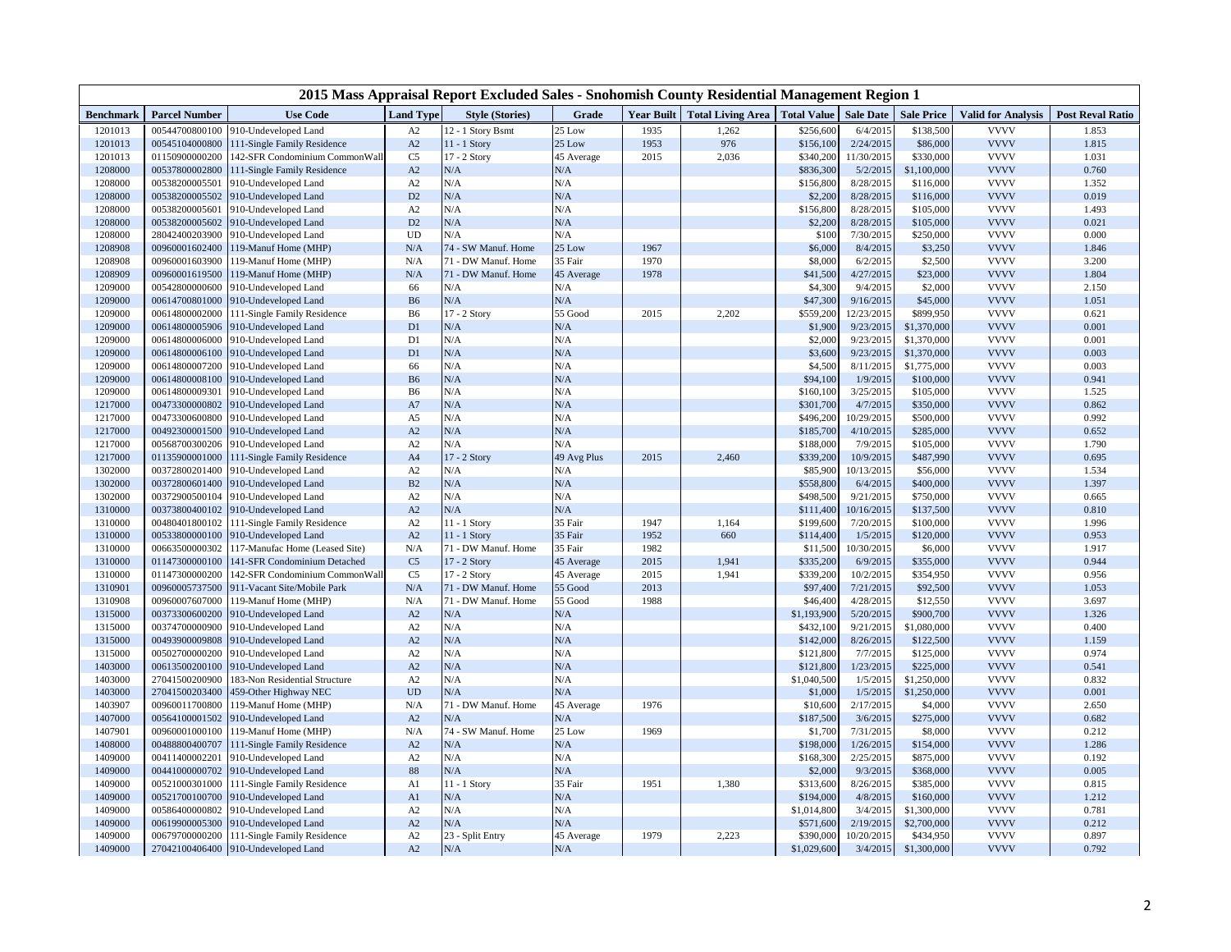| 2015 Mass Appraisal Report Excluded Sales - Snohomish County Residential Management Region 1 |                      |                                     |                  |                        |             |      |                                                          |             |            |                   |                           |                         |
|----------------------------------------------------------------------------------------------|----------------------|-------------------------------------|------------------|------------------------|-------------|------|----------------------------------------------------------|-------------|------------|-------------------|---------------------------|-------------------------|
| <b>Benchmark</b>                                                                             | <b>Parcel Number</b> | <b>Use Code</b>                     | <b>Land Type</b> | <b>Style (Stories)</b> | Grade       |      | Year Built   Total Living Area   Total Value   Sale Date |             |            | <b>Sale Price</b> | <b>Valid for Analysis</b> | <b>Post Reval Ratio</b> |
| 1201013                                                                                      | 00544700800100       | 910-Undeveloped Land                | A2               | 12 - 1 Story Bsmt      | 25 Low      | 1935 | 1,262                                                    | \$256,600   | 6/4/2015   | \$138,500         | <b>VVVV</b>               | 1.853                   |
| 1201013                                                                                      | 00545104000800       | 111-Single Family Residence         | A2               | $11 - 1$ Story         | 25 Low      | 1953 | 976                                                      | \$156,100   | 2/24/2015  | \$86,000          | <b>VVVV</b>               | 1.815                   |
| 1201013                                                                                      | 01150900000200       | 142-SFR Condominium CommonWall      | C <sub>5</sub>   | 17 - 2 Story           | 45 Average  | 2015 | 2,036                                                    | \$340,200   | 11/30/2015 | \$330,000         | <b>VVVV</b>               | 1.031                   |
| 1208000                                                                                      | 00537800002800       | 111-Single Family Residence         | A2               | N/A                    | N/A         |      |                                                          | \$836,300   | 5/2/2015   | \$1,100,000       | <b>VVVV</b>               | 0.760                   |
| 1208000                                                                                      | 00538200005501       | 910-Undeveloped Land                | A2               | N/A                    | N/A         |      |                                                          | \$156,800   | 8/28/2015  | \$116,000         | <b>VVVV</b>               | 1.352                   |
| 1208000                                                                                      | 00538200005502       | 910-Undeveloped Land                | D2               | N/A                    | N/A         |      |                                                          | \$2,200     | 8/28/2015  | \$116,000         | <b>VVVV</b>               | 0.019                   |
| 1208000                                                                                      | 00538200005601       | 910-Undeveloped Land                | A2               | N/A                    | N/A         |      |                                                          | \$156,800   | 8/28/2015  | \$105,000         | <b>VVVV</b>               | 1.493                   |
| 1208000                                                                                      | 00538200005602       | 910-Undeveloped Land                | D2               | N/A                    | N/A         |      |                                                          | \$2,200     | 8/28/2015  | \$105,000         | <b>VVVV</b>               | 0.021                   |
| 1208000                                                                                      | 28042400203900       | 910-Undeveloped Land                | UD               | N/A                    | N/A         |      |                                                          | \$100       | 7/30/2015  | \$250,000         | <b>VVVV</b>               | 0.000                   |
| 1208908                                                                                      | 00960001602400       | 119-Manuf Home (MHP)                | N/A              | 74 - SW Manuf. Home    | 25 Low      | 1967 |                                                          | \$6,000     | 8/4/2015   | \$3,250           | <b>VVVV</b>               | 1.846                   |
| 1208908                                                                                      | 00960001603900       | 119-Manuf Home (MHP)                | N/A              | 71 - DW Manuf. Home    | 35 Fair     | 1970 |                                                          | \$8,000     | 6/2/2015   | \$2,500           | <b>VVVV</b>               | 3.200                   |
| 1208909                                                                                      | 00960001619500       | 119-Manuf Home (MHP)                | N/A              | 71 - DW Manuf. Home    | 45 Average  | 1978 |                                                          | \$41,500    | 4/27/2015  | \$23,000          | <b>VVVV</b>               | 1.804                   |
| 1209000                                                                                      | 00542800000600       | 910-Undeveloped Land                | 66               | N/A                    | N/A         |      |                                                          | \$4,300     | 9/4/2015   | \$2,000           | <b>VVVV</b>               | 2.150                   |
| 1209000                                                                                      | 00614700801000       | 910-Undeveloped Land                | <b>B6</b>        | N/A                    | ${\rm N/A}$ |      |                                                          | \$47,300    | 9/16/2015  | \$45,000          | <b>VVVV</b>               | 1.051                   |
| 1209000                                                                                      | 00614800002000       | 111-Single Family Residence         | B <sub>6</sub>   | 17 - 2 Story           | 55 Good     | 2015 | 2,202                                                    | \$559,200   | 12/23/2015 | \$899,950         | <b>VVVV</b>               | 0.621                   |
| 1209000                                                                                      | 00614800005906       | 910-Undeveloped Land                | D1               | N/A                    | ${\rm N/A}$ |      |                                                          | \$1,900     | 9/23/2015  | \$1,370,000       | <b>VVVV</b>               | 0.001                   |
| 1209000                                                                                      | 00614800006000       | 910-Undeveloped Land                | D1               | N/A                    | N/A         |      |                                                          | \$2,000     | 9/23/2015  | \$1,370,000       | <b>VVVV</b>               | 0.001                   |
| 1209000                                                                                      | 00614800006100       | 910-Undeveloped Land                | D <sub>1</sub>   | N/A                    | ${\rm N/A}$ |      |                                                          | \$3,600     | 9/23/2015  | \$1,370,000       | <b>VVVV</b>               | 0.003                   |
| 1209000                                                                                      | 00614800007200       | 910-Undeveloped Land                | 66               | N/A                    | N/A         |      |                                                          | \$4,500     | 8/11/2015  | \$1,775,000       | <b>VVVV</b>               | 0.003                   |
| 1209000                                                                                      | 00614800008100       | 910-Undeveloped Land                | <b>B6</b>        | N/A                    | N/A         |      |                                                          | \$94,100    | 1/9/2015   | \$100,000         | <b>VVVV</b>               | 0.941                   |
| 1209000                                                                                      | 00614800009301       | 910-Undeveloped Land                | B <sub>6</sub>   | N/A                    | N/A         |      |                                                          | \$160,100   | 3/25/2015  | \$105,000         | <b>VVVV</b>               | 1.525                   |
| 1217000                                                                                      | 00473300000802       | 910-Undeveloped Land                | A7               | N/A                    | ${\rm N/A}$ |      |                                                          | \$301,700   | 4/7/2015   | \$350,000         | <b>VVVV</b>               | 0.862                   |
| 1217000                                                                                      | 00473300600800       | 910-Undeveloped Land                | A5               | N/A                    | N/A         |      |                                                          | \$496,200   | 10/29/2015 | \$500,000         | <b>VVVV</b>               | 0.992                   |
| 1217000                                                                                      | 00492300001500       | 910-Undeveloped Land                | A2               | N/A                    | N/A         |      |                                                          | \$185,700   | 4/10/2015  | \$285,000         | <b>VVVV</b>               | 0.652                   |
| 1217000                                                                                      | 00568700300206       | 910-Undeveloped Land                | A2               | N/A                    | N/A         |      |                                                          | \$188,000   | 7/9/2015   | \$105,000         | <b>VVVV</b>               | 1.790                   |
| 1217000                                                                                      | 01135900001000       | 111-Single Family Residence         | A4               | 17 - 2 Story           | 49 Avg Plus | 2015 | 2,460                                                    | \$339,200   | 10/9/2015  | \$487,990         | <b>VVVV</b>               | 0.695                   |
| 1302000                                                                                      | 00372800201400       | 910-Undeveloped Land                | A2               | N/A                    | N/A         |      |                                                          | \$85,900    | 10/13/2015 | \$56,000          | <b>VVVV</b>               | 1.534                   |
| 1302000                                                                                      | 00372800601400       | 910-Undeveloped Land                | B <sub>2</sub>   | N/A                    | N/A         |      |                                                          | \$558,800   | 6/4/2015   | \$400,000         | <b>VVVV</b>               | 1.397                   |
| 1302000                                                                                      | 00372900500104       | 910-Undeveloped Land                | A2               | N/A                    | N/A         |      |                                                          | \$498,500   | 9/21/2015  | \$750,000         | <b>VVVV</b>               | 0.665                   |
| 1310000                                                                                      | 00373800400102       | 910-Undeveloped Land                | A2               | N/A                    | N/A         |      |                                                          | \$111,400   | 10/16/2015 | \$137,500         | <b>VVVV</b>               | 0.810                   |
| 1310000                                                                                      | 00480401800102       | 111-Single Family Residence         | A2               | $11 - 1$ Story         | 35 Fair     | 1947 | 1,164                                                    | \$199,600   | 7/20/2015  | \$100,000         | <b>VVVV</b>               | 1.996                   |
| 1310000                                                                                      | 00533800000100       | 910-Undeveloped Land                | A2               | 11 - 1 Story           | 35 Fair     | 1952 | 660                                                      | \$114,400   | 1/5/2015   | \$120,000         | <b>VVVV</b>               | 0.953                   |
| 1310000                                                                                      | 00663500000302       | 117-Manufac Home (Leased Site)      | N/A              | 71 - DW Manuf. Home    | 35 Fair     | 1982 |                                                          | \$11,500    | 10/30/2015 | \$6,000           | <b>VVVV</b>               | 1.917                   |
| 1310000                                                                                      | 01147300000100       | 141-SFR Condominium Detached        | C <sub>5</sub>   | 17 - 2 Story           | 45 Average  | 2015 | 1,941                                                    | \$335,200   | 6/9/2015   | \$355,000         | <b>VVVV</b>               | 0.944                   |
| 1310000                                                                                      | 01147300000200       | 142-SFR Condominium CommonWall      | C <sub>5</sub>   | 17 - 2 Story           | 45 Average  | 2015 | 1,941                                                    | \$339,200   | 10/2/2015  | \$354,950         | <b>VVVV</b>               | 0.956                   |
| 1310901                                                                                      | 00960005737500       | 911-Vacant Site/Mobile Park         | N/A              | 71 - DW Manuf. Home    | 55 Good     | 2013 |                                                          | \$97,400    | 7/21/2015  | \$92,500          | <b>VVVV</b>               | 1.053                   |
| 1310908                                                                                      | 00960007607000       | 119-Manuf Home (MHP)                | N/A              | 71 - DW Manuf. Home    | 55 Good     | 1988 |                                                          | \$46,400    | 4/28/2015  | \$12,550          | <b>VVVV</b>               | 3.697                   |
| 1315000                                                                                      | 00373300600200       | 910-Undeveloped Land                | A2               | N/A                    | N/A         |      |                                                          | \$1,193,900 | 5/20/2015  | \$900,700         | <b>VVVV</b>               | 1.326                   |
| 1315000                                                                                      | 00374700000900       | 910-Undeveloped Land                | A2               | N/A                    | N/A         |      |                                                          | \$432,100   | 9/21/2015  | \$1,080,000       | <b>VVVV</b>               | 0.400                   |
| 1315000                                                                                      | 00493900009808       | 910-Undeveloped Land                | A2               | N/A                    | N/A         |      |                                                          | \$142,000   | 8/26/2015  | \$122,500         | <b>VVVV</b>               | 1.159                   |
| 1315000                                                                                      | 00502700000200       | 910-Undeveloped Land                | A2               | N/A                    | N/A         |      |                                                          | \$121,800   | 7/7/2015   | \$125,000         | <b>VVVV</b>               | 0.974                   |
| 1403000                                                                                      | 00613500200100       | 910-Undeveloped Land                | A2               | N/A                    | N/A         |      |                                                          | \$121,800   | 1/23/2015  | \$225,000         | <b>VVVV</b>               | 0.541                   |
| 1403000                                                                                      | 27041500200900       | 183-Non Residential Structure       | A2               | N/A                    | N/A         |      |                                                          | \$1,040,500 | 1/5/2015   | \$1,250,000       | <b>VVVV</b>               | 0.832                   |
| 1403000                                                                                      | 27041500203400       | 459-Other Highway NEC               | <b>UD</b>        | N/A                    | N/A         |      |                                                          | \$1,000     | 1/5/2015   | \$1,250,000       | <b>VVVV</b>               | 0.001                   |
| 1403907                                                                                      | 00960011700800       | 119-Manuf Home (MHP)                | N/A              | 71 - DW Manuf. Home    | 45 Average  | 1976 |                                                          | \$10,600    | 2/17/2015  | \$4,000           | <b>VVVV</b>               | 2.650                   |
| 1407000                                                                                      | 00564100001502       | 910-Undeveloped Land                | A2               | N/A                    | N/A         |      |                                                          | \$187,500   | 3/6/2015   | \$275,000         | <b>VVVV</b>               | 0.682                   |
| 1407901                                                                                      | 00960001000100       | 119-Manuf Home (MHP)                | N/A              | 74 - SW Manuf. Home    | 25 Low      | 1969 |                                                          | \$1,700     | 7/31/2015  | \$8,000           | <b>VVVV</b>               | 0.212                   |
| 1408000                                                                                      | 00488800400707       | 111-Single Family Residence         | A2               | N/A                    | N/A         |      |                                                          | \$198,000   | 1/26/2015  | \$154,000         | <b>VVVV</b>               | 1.286                   |
| 1409000                                                                                      | 00411400002201       | 910-Undeveloped Land                | A2               | N/A                    | ${\rm N/A}$ |      |                                                          | \$168,300   | 2/25/2015  | \$875,000         | <b>VVVV</b>               | 0.192                   |
| 1409000                                                                                      | 00441000000702       | 910-Undeveloped Land                | 88               | N/A                    | $\rm N/A$   |      |                                                          | \$2,000     | 9/3/2015   | \$368,000         | <b>VVVV</b>               | 0.005                   |
| 1409000                                                                                      | 00521000301000       | 111-Single Family Residence         | A <sub>1</sub>   | 11 - 1 Story           | 35 Fair     | 1951 | 1,380                                                    | \$313,600   | 8/26/2015  | \$385,000         | <b>VVVV</b>               | 0.815                   |
| 1409000                                                                                      | 00521700100700       | 910-Undeveloped Land                | A <sub>1</sub>   | N/A                    | ${\rm N/A}$ |      |                                                          | \$194,000   | 4/8/2015   | \$160,000         | <b>VVVV</b>               | 1.212                   |
| 1409000                                                                                      | 00586400000802       | 910-Undeveloped Land                | A2               | N/A                    | N/A         |      |                                                          | \$1,014,800 | 3/4/2015   | \$1,300,000       | <b>VVVV</b>               | 0.781                   |
| 1409000                                                                                      | 00619900005300       | 910-Undeveloped Land                | A2               | N/A                    | N/A         |      |                                                          | \$571,600   | 2/19/2015  | \$2,700,000       | <b>VVVV</b>               | 0.212                   |
| 1409000                                                                                      | 00679700000200       | 111-Single Family Residence         | A2               | 23 - Split Entry       | 45 Average  | 1979 | 2,223                                                    | \$390,000   | 10/20/2015 | \$434,950         | <b>VVVV</b>               | 0.897                   |
| 1409000                                                                                      |                      | 27042100406400 910-Undeveloped Land | A2               | N/A                    | N/A         |      |                                                          | \$1,029,600 | 3/4/2015   | \$1,300,000       | <b>VVVV</b>               | 0.792                   |